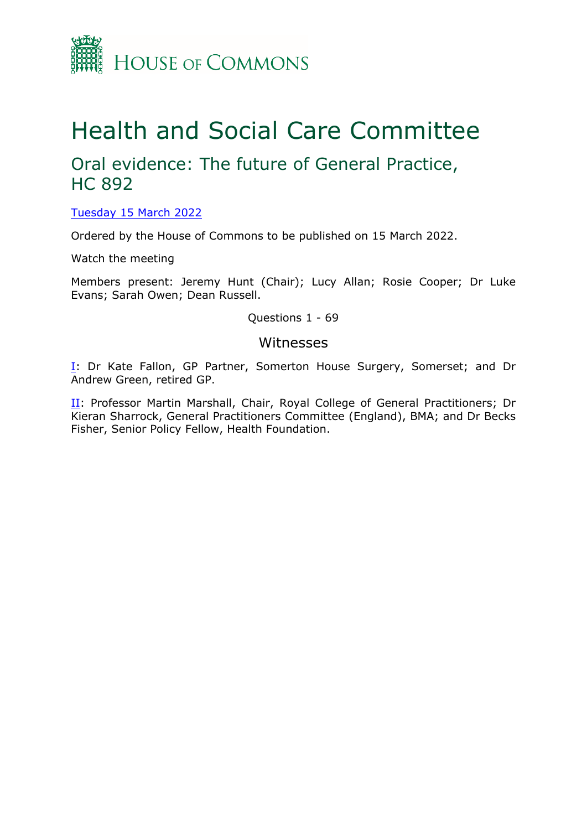

# Health and Social Care Committee

# Oral evidence: The future of General Practice, HC 892

[Tuesday](https://www.parliamentlive.tv/Event/Index/2db75856-7af1-4c6c-8a81-1195325864a7) [15](https://www.parliamentlive.tv/Event/Index/2db75856-7af1-4c6c-8a81-1195325864a7) [March](https://www.parliamentlive.tv/Event/Index/2db75856-7af1-4c6c-8a81-1195325864a7) [2022](https://www.parliamentlive.tv/Event/Index/2db75856-7af1-4c6c-8a81-1195325864a7)

Ordered by the House of Commons to be published on 15 March 2022.

Watch the meeting

Members present: Jeremy Hunt (Chair); Lucy Allan; Rosie Cooper; Dr Luke Evans; Sarah Owen; Dean Russell.

Questions 1 - 69

## Witnesses

[I:](#page-1-0) Dr Kate Fallon, GP Partner, Somerton House Surgery, Somerset; and Dr Andrew Green, retired GP.

II: Professor Martin Marshall, Chair, Royal College of General Practitioners; Dr Kieran Sharrock, General Practitioners Committee (England), BMA; and Dr Becks Fisher, Senior Policy Fellow, Health Foundation.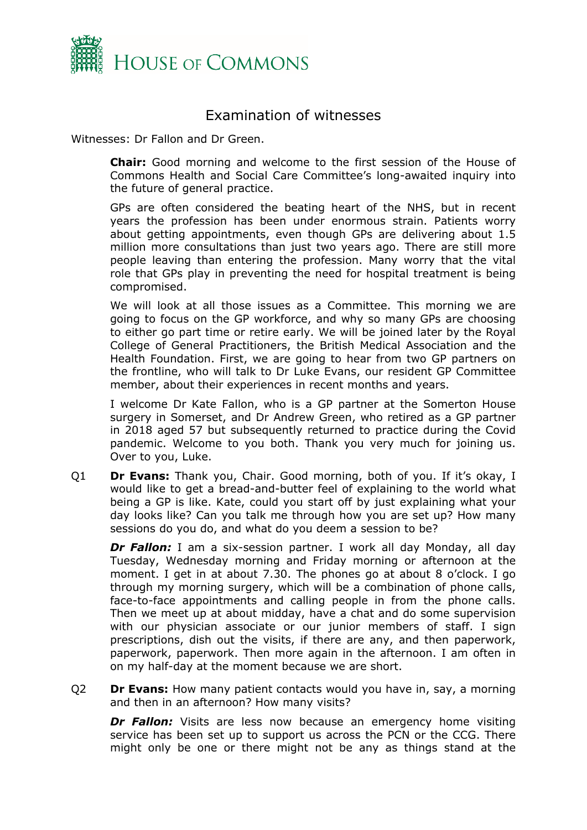

# <span id="page-1-0"></span>Examination of witnesses

Witnesses: Dr Fallon and Dr Green.

**Chair:** Good morning and welcome to the first session of the House of Commons Health and Social Care Committee's long-awaited inquiry into the future of general practice.

GPs are often considered the beating heart of the NHS, but in recent years the profession has been under enormous strain. Patients worry about getting appointments, even though GPs are delivering about 1.5 million more consultations than just two years ago. There are still more people leaving than entering the profession. Many worry that the vital role that GPs play in preventing the need for hospital treatment is being compromised.

We will look at all those issues as a Committee. This morning we are going to focus on the GP workforce, and why so many GPs are choosing to either go part time or retire early. We will be joined later by the Royal College of General Practitioners, the British Medical Association and the Health Foundation. First, we are going to hear from two GP partners on the frontline, who will talk to Dr Luke Evans, our resident GP Committee member, about their experiences in recent months and years.

I welcome Dr Kate Fallon, who is a GP partner at the Somerton House surgery in Somerset, and Dr Andrew Green, who retired as a GP partner in 2018 aged 57 but subsequently returned to practice during the Covid pandemic. Welcome to you both. Thank you very much for joining us. Over to you, Luke.

Q1 **Dr Evans:** Thank you, Chair. Good morning, both of you. If it's okay, I would like to get a bread-and-butter feel of explaining to the world what being a GP is like. Kate, could you start off by just explaining what your day looks like? Can you talk me through how you are set up? How many sessions do you do, and what do you deem a session to be?

**Dr Fallon:** I am a six-session partner. I work all day Monday, all day Tuesday, Wednesday morning and Friday morning or afternoon at the moment. I get in at about 7.30. The phones go at about 8 o'clock. I go through my morning surgery, which will be a combination of phone calls, face-to-face appointments and calling people in from the phone calls. Then we meet up at about midday, have a chat and do some supervision with our physician associate or our junior members of staff. I sign prescriptions, dish out the visits, if there are any, and then paperwork, paperwork, paperwork. Then more again in the afternoon. I am often in on my half-day at the moment because we are short.

Q2 **Dr Evans:** How many patient contacts would you have in, say, a morning and then in an afternoon? How many visits?

*Dr Fallon:* Visits are less now because an emergency home visiting service has been set up to support us across the PCN or the CCG. There might only be one or there might not be any as things stand at the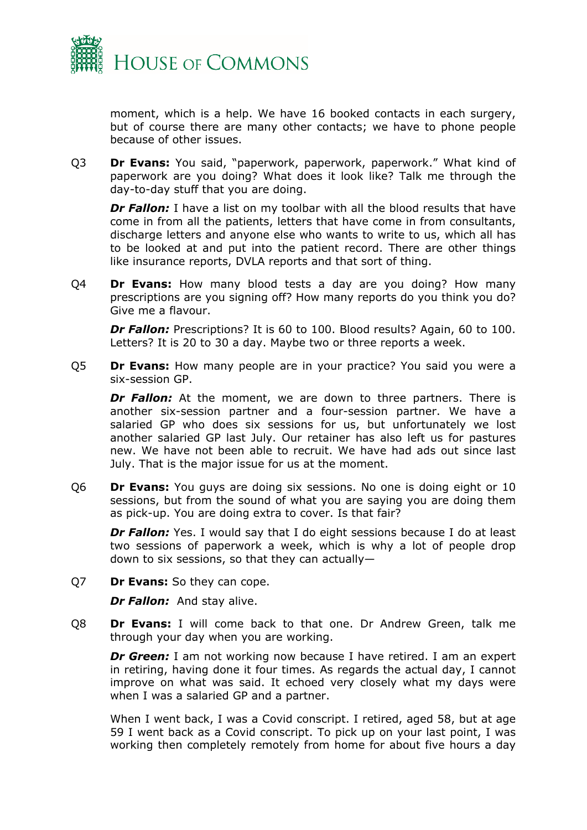

moment, which is a help. We have 16 booked contacts in each surgery, but of course there are many other contacts; we have to phone people because of other issues.

Q3 **Dr Evans:** You said, "paperwork, paperwork, paperwork." What kind of paperwork are you doing? What does it look like? Talk me through the day-to-day stuff that you are doing.

**Dr Fallon:** I have a list on my toolbar with all the blood results that have come in from all the patients, letters that have come in from consultants, discharge letters and anyone else who wants to write to us, which all has to be looked at and put into the patient record. There are other things like insurance reports, DVLA reports and that sort of thing.

Q4 **Dr Evans:** How many blood tests a day are you doing? How many prescriptions are you signing off? How many reports do you think you do? Give me a flavour.

*Dr Fallon:* Prescriptions? It is 60 to 100. Blood results? Again, 60 to 100. Letters? It is 20 to 30 a day. Maybe two or three reports a week.

Q5 **Dr Evans:** How many people are in your practice? You said you were a six-session GP.

**Dr Fallon:** At the moment, we are down to three partners. There is another six-session partner and a four-session partner. We have a salaried GP who does six sessions for us, but unfortunately we lost another salaried GP last July. Our retainer has also left us for pastures new. We have not been able to recruit. We have had ads out since last July. That is the major issue for us at the moment.

Q6 **Dr Evans:** You guys are doing six sessions. No one is doing eight or 10 sessions, but from the sound of what you are saying you are doing them as pick-up. You are doing extra to cover. Is that fair?

**Dr Fallon:** Yes. I would say that I do eight sessions because I do at least two sessions of paperwork a week, which is why a lot of people drop down to six sessions, so that they can actually—

Q7 **Dr Evans:** So they can cope.

*Dr Fallon:* And stay alive.

Q8 **Dr Evans:** I will come back to that one. Dr Andrew Green, talk me through your day when you are working.

*Dr Green:* I am not working now because I have retired. I am an expert in retiring, having done it four times. As regards the actual day, I cannot improve on what was said. It echoed very closely what my days were when I was a salaried GP and a partner.

When I went back, I was a Covid conscript. I retired, aged 58, but at age 59 I went back as a Covid conscript. To pick up on your last point, I was working then completely remotely from home for about five hours a day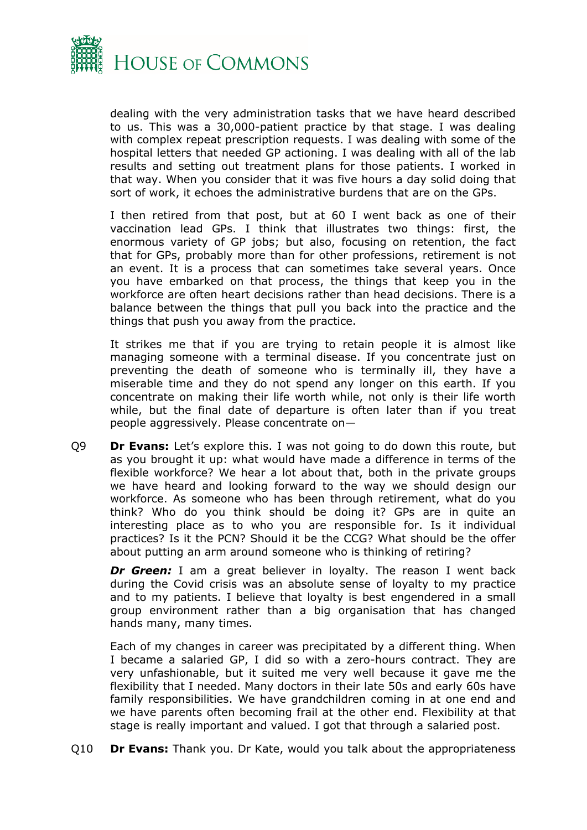

dealing with the very administration tasks that we have heard described to us. This was a 30,000-patient practice by that stage. I was dealing with complex repeat prescription requests. I was dealing with some of the hospital letters that needed GP actioning. I was dealing with all of the lab results and setting out treatment plans for those patients. I worked in that way. When you consider that it was five hours a day solid doing that sort of work, it echoes the administrative burdens that are on the GPs.

I then retired from that post, but at 60 I went back as one of their vaccination lead GPs. I think that illustrates two things: first, the enormous variety of GP jobs; but also, focusing on retention, the fact that for GPs, probably more than for other professions, retirement is not an event. It is a process that can sometimes take several years. Once you have embarked on that process, the things that keep you in the workforce are often heart decisions rather than head decisions. There is a balance between the things that pull you back into the practice and the things that push you away from the practice.

It strikes me that if you are trying to retain people it is almost like managing someone with a terminal disease. If you concentrate just on preventing the death of someone who is terminally ill, they have a miserable time and they do not spend any longer on this earth. If you concentrate on making their life worth while, not only is their life worth while, but the final date of departure is often later than if you treat people aggressively. Please concentrate on—

Q9 **Dr Evans:** Let's explore this. I was not going to do down this route, but as you brought it up: what would have made a difference in terms of the flexible workforce? We hear a lot about that, both in the private groups we have heard and looking forward to the way we should design our workforce. As someone who has been through retirement, what do you think? Who do you think should be doing it? GPs are in quite an interesting place as to who you are responsible for. Is it individual practices? Is it the PCN? Should it be the CCG? What should be the offer about putting an arm around someone who is thinking of retiring?

**Dr Green:** I am a great believer in loyalty. The reason I went back during the Covid crisis was an absolute sense of loyalty to my practice and to my patients. I believe that loyalty is best engendered in a small group environment rather than a big organisation that has changed hands many, many times.

Each of my changes in career was precipitated by a different thing. When I became a salaried GP, I did so with a zero-hours contract. They are very unfashionable, but it suited me very well because it gave me the flexibility that I needed. Many doctors in their late 50s and early 60s have family responsibilities. We have grandchildren coming in at one end and we have parents often becoming frail at the other end. Flexibility at that stage is really important and valued. I got that through a salaried post.

Q10 **Dr Evans:** Thank you. Dr Kate, would you talk about the appropriateness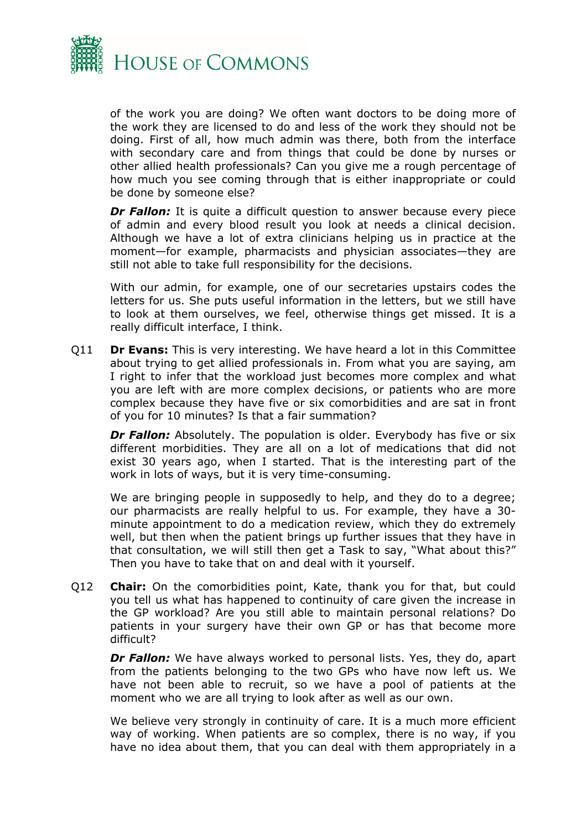

of the work you are doing? We often want doctors to be doing more of the work they are licensed to do and less of the work they should not be doing. First of all, how much admin was there, both from the interface with secondary care and from things that could be done by nurses or other allied health professionals? Can you give me a rough percentage of how much you see coming through that is either inappropriate or could be done by someone else?

*Dr Fallon:* It is quite a difficult question to answer because every piece of admin and every blood result you look at needs a clinical decision. Although we have a lot of extra clinicians helping us in practice at the moment—for example, pharmacists and physician associates—they are still not able to take full responsibility for the decisions.

With our admin, for example, one of our secretaries upstairs codes the letters for us. She puts useful information in the letters, but we still have to look at them ourselves, we feel, otherwise things get missed. It is a really difficult interface, I think.

Q11 **Dr Evans:** This is very interesting. We have heard a lot in this Committee about trying to get allied professionals in. From what you are saying, am I right to infer that the workload just becomes more complex and what you are left with are more complex decisions, or patients who are more complex because they have five or six comorbidities and are sat in front of you for 10 minutes? Is that a fair summation?

*Dr Fallon:* Absolutely. The population is older. Everybody has five or six different morbidities. They are all on a lot of medications that did not exist 30 years ago, when I started. That is the interesting part of the work in lots of ways, but it is very time-consuming.

We are bringing people in supposedly to help, and they do to a degree; our pharmacists are really helpful to us. For example, they have a 30 minute appointment to do a medication review, which they do extremely well, but then when the patient brings up further issues that they have in that consultation, we will still then get a Task to say, "What about this?" Then you have to take that on and deal with it yourself.

Q12 **Chair:** On the comorbidities point, Kate, thank you for that, but could you tell us what has happened to continuity of care given the increase in the GP workload? Are you still able to maintain personal relations? Do patients in your surgery have their own GP or has that become more difficult?

*Dr Fallon:* We have always worked to personal lists. Yes, they do, apart from the patients belonging to the two GPs who have now left us. We have not been able to recruit, so we have a pool of patients at the moment who we are all trying to look after as well as our own.

We believe very strongly in continuity of care. It is a much more efficient way of working. When patients are so complex, there is no way, if you have no idea about them, that you can deal with them appropriately in a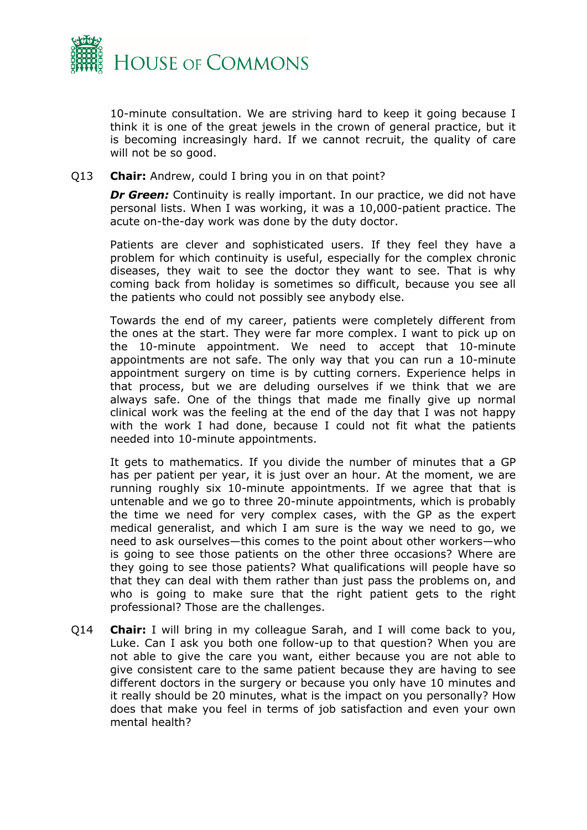

10-minute consultation. We are striving hard to keep it going because I think it is one of the great jewels in the crown of general practice, but it is becoming increasingly hard. If we cannot recruit, the quality of care will not be so good.

#### Q13 **Chair:** Andrew, could I bring you in on that point?

*Dr Green:* Continuity is really important. In our practice, we did not have personal lists. When I was working, it was a 10,000-patient practice. The acute on-the-day work was done by the duty doctor.

Patients are clever and sophisticated users. If they feel they have a problem for which continuity is useful, especially for the complex chronic diseases, they wait to see the doctor they want to see. That is why coming back from holiday is sometimes so difficult, because you see all the patients who could not possibly see anybody else.

Towards the end of my career, patients were completely different from the ones at the start. They were far more complex. I want to pick up on the 10-minute appointment. We need to accept that 10-minute appointments are not safe. The only way that you can run a 10-minute appointment surgery on time is by cutting corners. Experience helps in that process, but we are deluding ourselves if we think that we are always safe. One of the things that made me finally give up normal clinical work was the feeling at the end of the day that I was not happy with the work I had done, because I could not fit what the patients needed into 10-minute appointments.

It gets to mathematics. If you divide the number of minutes that a GP has per patient per year, it is just over an hour. At the moment, we are running roughly six 10-minute appointments. If we agree that that is untenable and we go to three 20-minute appointments, which is probably the time we need for very complex cases, with the GP as the expert medical generalist, and which I am sure is the way we need to go, we need to ask ourselves—this comes to the point about other workers—who is going to see those patients on the other three occasions? Where are they going to see those patients? What qualifications will people have so that they can deal with them rather than just pass the problems on, and who is going to make sure that the right patient gets to the right professional? Those are the challenges.

Q14 **Chair:** I will bring in my colleague Sarah, and I will come back to you, Luke. Can I ask you both one follow-up to that question? When you are not able to give the care you want, either because you are not able to give consistent care to the same patient because they are having to see different doctors in the surgery or because you only have 10 minutes and it really should be 20 minutes, what is the impact on you personally? How does that make you feel in terms of job satisfaction and even your own mental health?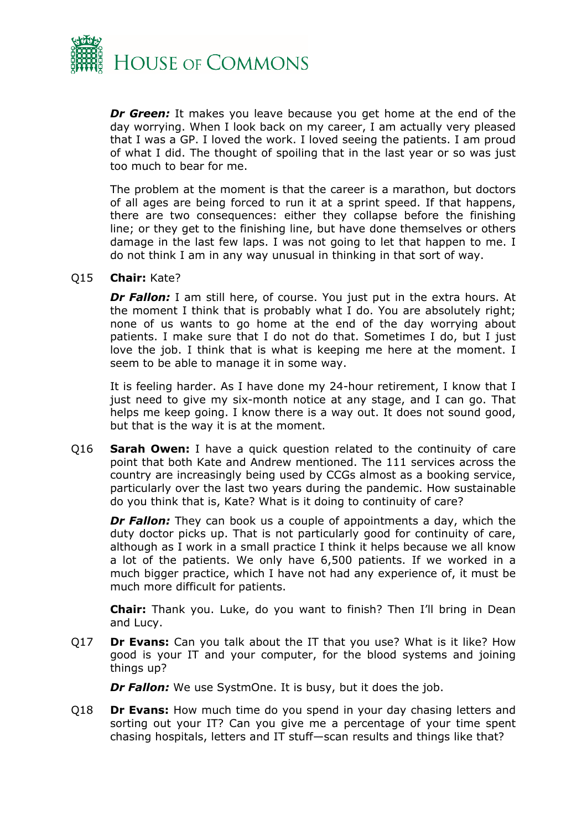

*Dr Green:* It makes you leave because you get home at the end of the day worrying. When I look back on my career, I am actually very pleased that I was a GP. I loved the work. I loved seeing the patients. I am proud of what I did. The thought of spoiling that in the last year or so was just too much to bear for me.

The problem at the moment is that the career is a marathon, but doctors of all ages are being forced to run it at a sprint speed. If that happens, there are two consequences: either they collapse before the finishing line; or they get to the finishing line, but have done themselves or others damage in the last few laps. I was not going to let that happen to me. I do not think I am in any way unusual in thinking in that sort of way.

#### Q15 **Chair:** Kate?

**Dr Fallon:** I am still here, of course. You just put in the extra hours. At the moment I think that is probably what I do. You are absolutely right; none of us wants to go home at the end of the day worrying about patients. I make sure that I do not do that. Sometimes I do, but I just love the job. I think that is what is keeping me here at the moment. I seem to be able to manage it in some way.

It is feeling harder. As I have done my 24-hour retirement, I know that I just need to give my six-month notice at any stage, and I can go. That helps me keep going. I know there is a way out. It does not sound good, but that is the way it is at the moment.

Q16 **Sarah Owen:** I have a quick question related to the continuity of care point that both Kate and Andrew mentioned. The 111 services across the country are increasingly being used by CCGs almost as a booking service, particularly over the last two years during the pandemic. How sustainable do you think that is, Kate? What is it doing to continuity of care?

*Dr Fallon:* They can book us a couple of appointments a day, which the duty doctor picks up. That is not particularly good for continuity of care, although as I work in a small practice I think it helps because we all know a lot of the patients. We only have 6,500 patients. If we worked in a much bigger practice, which I have not had any experience of, it must be much more difficult for patients.

**Chair:** Thank you. Luke, do you want to finish? Then I'll bring in Dean and Lucy.

Q17 **Dr Evans:** Can you talk about the IT that you use? What is it like? How good is your IT and your computer, for the blood systems and joining things up?

*Dr Fallon:* We use SystmOne. It is busy, but it does the job.

Q18 **Dr Evans:** How much time do you spend in your day chasing letters and sorting out your IT? Can you give me a percentage of your time spent chasing hospitals, letters and IT stuff—scan results and things like that?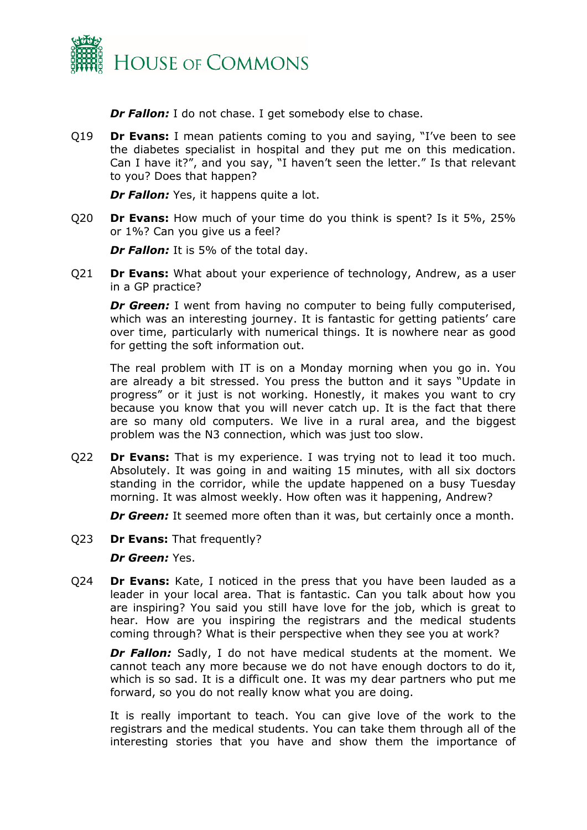

*Dr Fallon:* I do not chase. I get somebody else to chase.

Q19 **Dr Evans:** I mean patients coming to you and saying, "I've been to see the diabetes specialist in hospital and they put me on this medication. Can I have it?", and you say, "I haven't seen the letter." Is that relevant to you? Does that happen?

*Dr Fallon:* Yes, it happens quite a lot.

Q20 **Dr Evans:** How much of your time do you think is spent? Is it 5%, 25% or 1%? Can you give us a feel?

*Dr Fallon:* It is 5% of the total day.

Q21 **Dr Evans:** What about your experience of technology, Andrew, as a user in a GP practice?

*Dr Green:* I went from having no computer to being fully computerised, which was an interesting journey. It is fantastic for getting patients' care over time, particularly with numerical things. It is nowhere near as good for getting the soft information out.

The real problem with IT is on a Monday morning when you go in. You are already a bit stressed. You press the button and it says "Update in progress" or it just is not working. Honestly, it makes you want to cry because you know that you will never catch up. It is the fact that there are so many old computers. We live in a rural area, and the biggest problem was the N3 connection, which was just too slow.

Q22 **Dr Evans:** That is my experience. I was trying not to lead it too much. Absolutely. It was going in and waiting 15 minutes, with all six doctors standing in the corridor, while the update happened on a busy Tuesday morning. It was almost weekly. How often was it happening, Andrew?

*Dr Green:* It seemed more often than it was, but certainly once a month.

Q23 **Dr Evans:** That frequently?

*Dr Green:* Yes.

Q24 **Dr Evans:** Kate, I noticed in the press that you have been lauded as a leader in your local area. That is fantastic. Can you talk about how you are inspiring? You said you still have love for the job, which is great to hear. How are you inspiring the registrars and the medical students coming through? What is their perspective when they see you at work?

**Dr Fallon:** Sadly, I do not have medical students at the moment. We cannot teach any more because we do not have enough doctors to do it, which is so sad. It is a difficult one. It was my dear partners who put me forward, so you do not really know what you are doing.

It is really important to teach. You can give love of the work to the registrars and the medical students. You can take them through all of the interesting stories that you have and show them the importance of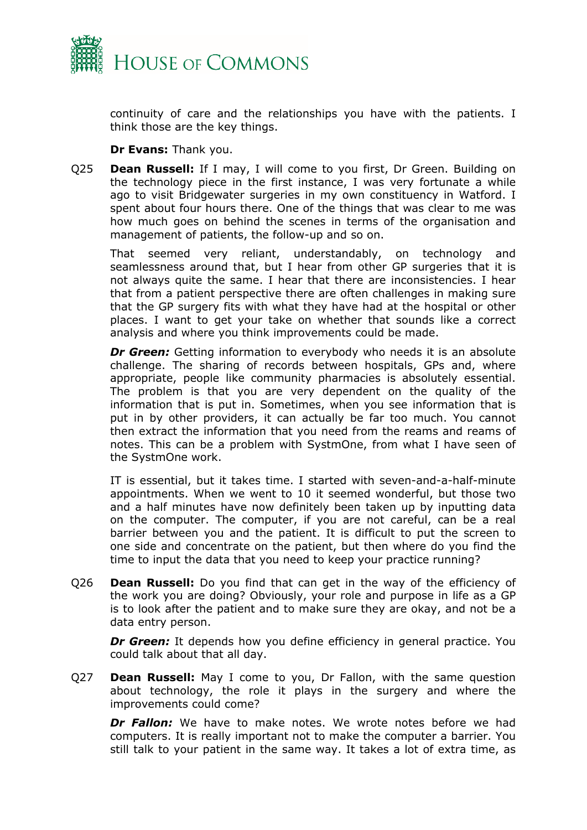

continuity of care and the relationships you have with the patients. I think those are the key things.

**Dr Evans:** Thank you.

Q25 **Dean Russell:** If I may, I will come to you first, Dr Green. Building on the technology piece in the first instance, I was very fortunate a while ago to visit Bridgewater surgeries in my own constituency in Watford. I spent about four hours there. One of the things that was clear to me was how much goes on behind the scenes in terms of the organisation and management of patients, the follow-up and so on.

That seemed very reliant, understandably, on technology and seamlessness around that, but I hear from other GP surgeries that it is not always quite the same. I hear that there are inconsistencies. I hear that from a patient perspective there are often challenges in making sure that the GP surgery fits with what they have had at the hospital or other places. I want to get your take on whether that sounds like a correct analysis and where you think improvements could be made.

**Dr Green:** Getting information to everybody who needs it is an absolute challenge. The sharing of records between hospitals, GPs and, where appropriate, people like community pharmacies is absolutely essential. The problem is that you are very dependent on the quality of the information that is put in. Sometimes, when you see information that is put in by other providers, it can actually be far too much. You cannot then extract the information that you need from the reams and reams of notes. This can be a problem with SystmOne, from what I have seen of the SystmOne work.

IT is essential, but it takes time. I started with seven-and-a-half-minute appointments. When we went to 10 it seemed wonderful, but those two and a half minutes have now definitely been taken up by inputting data on the computer. The computer, if you are not careful, can be a real barrier between you and the patient. It is difficult to put the screen to one side and concentrate on the patient, but then where do you find the time to input the data that you need to keep your practice running?

Q26 **Dean Russell:** Do you find that can get in the way of the efficiency of the work you are doing? Obviously, your role and purpose in life as a GP is to look after the patient and to make sure they are okay, and not be a data entry person.

*Dr Green:* It depends how you define efficiency in general practice. You could talk about that all day.

Q27 **Dean Russell:** May I come to you, Dr Fallon, with the same question about technology, the role it plays in the surgery and where the improvements could come?

*Dr Fallon:* We have to make notes. We wrote notes before we had computers. It is really important not to make the computer a barrier. You still talk to your patient in the same way. It takes a lot of extra time, as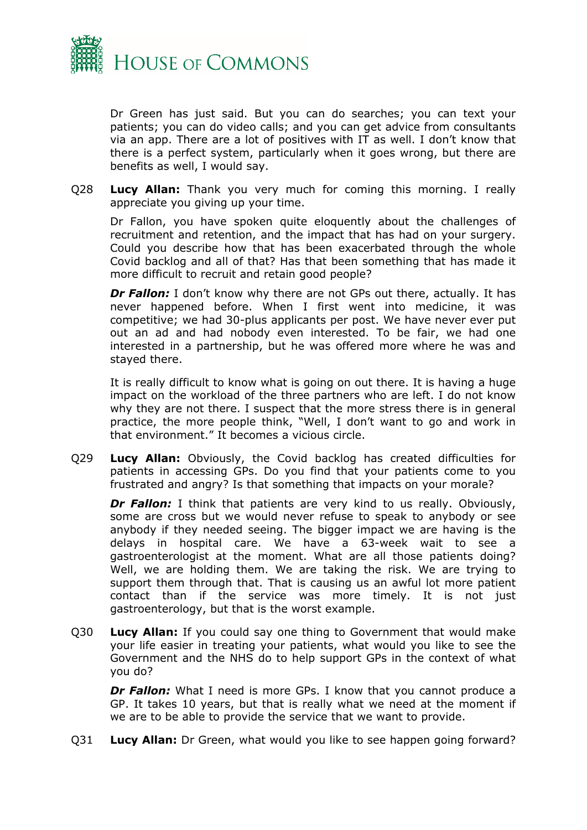

Dr Green has just said. But you can do searches; you can text your patients; you can do video calls; and you can get advice from consultants via an app. There are a lot of positives with IT as well. I don't know that there is a perfect system, particularly when it goes wrong, but there are benefits as well, I would say.

Q28 **Lucy Allan:** Thank you very much for coming this morning. I really appreciate you giving up your time.

Dr Fallon, you have spoken quite eloquently about the challenges of recruitment and retention, and the impact that has had on your surgery. Could you describe how that has been exacerbated through the whole Covid backlog and all of that? Has that been something that has made it more difficult to recruit and retain good people?

*Dr Fallon:* I don't know why there are not GPs out there, actually. It has never happened before. When I first went into medicine, it was competitive; we had 30-plus applicants per post. We have never ever put out an ad and had nobody even interested. To be fair, we had one interested in a partnership, but he was offered more where he was and stayed there.

It is really difficult to know what is going on out there. It is having a huge impact on the workload of the three partners who are left. I do not know why they are not there. I suspect that the more stress there is in general practice, the more people think, "Well, I don't want to go and work in that environment." It becomes a vicious circle.

Q29 **Lucy Allan:** Obviously, the Covid backlog has created difficulties for patients in accessing GPs. Do you find that your patients come to you frustrated and angry? Is that something that impacts on your morale?

**Dr Fallon:** I think that patients are very kind to us really. Obviously, some are cross but we would never refuse to speak to anybody or see anybody if they needed seeing. The bigger impact we are having is the delays in hospital care. We have a 63-week wait to see a gastroenterologist at the moment. What are all those patients doing? Well, we are holding them. We are taking the risk. We are trying to support them through that. That is causing us an awful lot more patient contact than if the service was more timely. It is not just gastroenterology, but that is the worst example.

Q30 **Lucy Allan:** If you could say one thing to Government that would make your life easier in treating your patients, what would you like to see the Government and the NHS do to help support GPs in the context of what you do?

*Dr Fallon:* What I need is more GPs. I know that you cannot produce a GP. It takes 10 years, but that is really what we need at the moment if we are to be able to provide the service that we want to provide.

Q31 **Lucy Allan:** Dr Green, what would you like to see happen going forward?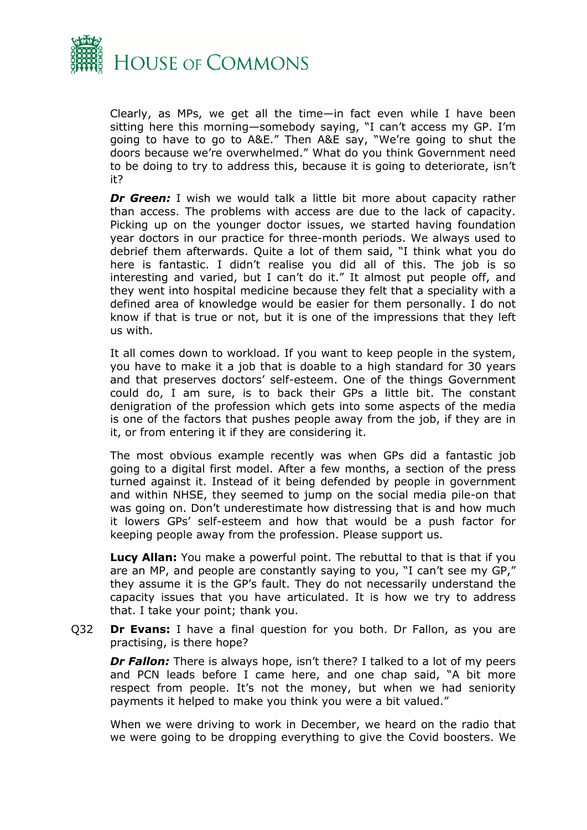

Clearly, as MPs, we get all the time—in fact even while I have been sitting here this morning—somebody saying, "I can't access my GP. I'm going to have to go to A&E." Then A&E say, "We're going to shut the doors because we're overwhelmed." What do you think Government need to be doing to try to address this, because it is going to deteriorate, isn't it?

**Dr Green:** I wish we would talk a little bit more about capacity rather than access. The problems with access are due to the lack of capacity. Picking up on the younger doctor issues, we started having foundation year doctors in our practice for three-month periods. We always used to debrief them afterwards. Quite a lot of them said, "I think what you do here is fantastic. I didn't realise you did all of this. The job is so interesting and varied, but I can't do it." It almost put people off, and they went into hospital medicine because they felt that a speciality with a defined area of knowledge would be easier for them personally. I do not know if that is true or not, but it is one of the impressions that they left us with.

It all comes down to workload. If you want to keep people in the system, you have to make it a job that is doable to a high standard for 30 years and that preserves doctors' self-esteem. One of the things Government could do, I am sure, is to back their GPs a little bit. The constant denigration of the profession which gets into some aspects of the media is one of the factors that pushes people away from the job, if they are in it, or from entering it if they are considering it.

The most obvious example recently was when GPs did a fantastic job going to a digital first model. After a few months, a section of the press turned against it. Instead of it being defended by people in government and within NHSE, they seemed to jump on the social media pile-on that was going on. Don't underestimate how distressing that is and how much it lowers GPs' self-esteem and how that would be a push factor for keeping people away from the profession. Please support us.

**Lucy Allan:** You make a powerful point. The rebuttal to that is that if you are an MP, and people are constantly saying to you, "I can't see my GP," they assume it is the GP's fault. They do not necessarily understand the capacity issues that you have articulated. It is how we try to address that. I take your point; thank you.

Q32 **Dr Evans:** I have a final question for you both. Dr Fallon, as you are practising, is there hope?

*Dr Fallon:* There is always hope, isn't there? I talked to a lot of my peers and PCN leads before I came here, and one chap said, "A bit more respect from people. It's not the money, but when we had seniority payments it helped to make you think you were a bit valued."

When we were driving to work in December, we heard on the radio that we were going to be dropping everything to give the Covid boosters. We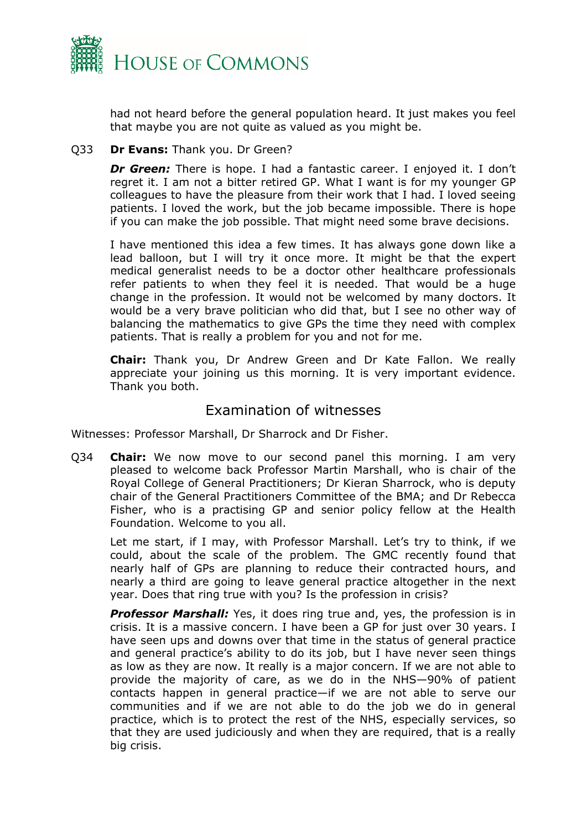

had not heard before the general population heard. It just makes you feel that maybe you are not quite as valued as you might be.

#### Q33 **Dr Evans:** Thank you. Dr Green?

*Dr Green:* There is hope. I had a fantastic career. I enjoyed it. I don't regret it. I am not a bitter retired GP. What I want is for my younger GP colleagues to have the pleasure from their work that I had. I loved seeing patients. I loved the work, but the job became impossible. There is hope if you can make the job possible. That might need some brave decisions.

I have mentioned this idea a few times. It has always gone down like a lead balloon, but I will try it once more. It might be that the expert medical generalist needs to be a doctor other healthcare professionals refer patients to when they feel it is needed. That would be a huge change in the profession. It would not be welcomed by many doctors. It would be a very brave politician who did that, but I see no other way of balancing the mathematics to give GPs the time they need with complex patients. That is really a problem for you and not for me.

**Chair:** Thank you, Dr Andrew Green and Dr Kate Fallon. We really appreciate your joining us this morning. It is very important evidence. Thank you both.

### Examination of witnesses

Witnesses: Professor Marshall, Dr Sharrock and Dr Fisher.

Q34 **Chair:** We now move to our second panel this morning. I am very pleased to welcome back Professor Martin Marshall, who is chair of the Royal College of General Practitioners; Dr Kieran Sharrock, who is deputy chair of the General Practitioners Committee of the BMA; and Dr Rebecca Fisher, who is a practising GP and senior policy fellow at the Health Foundation. Welcome to you all.

Let me start, if I may, with Professor Marshall. Let's try to think, if we could, about the scale of the problem. The GMC recently found that nearly half of GPs are planning to reduce their contracted hours, and nearly a third are going to leave general practice altogether in the next year. Does that ring true with you? Is the profession in crisis?

*Professor Marshall:* Yes, it does ring true and, yes, the profession is in crisis. It is a massive concern. I have been a GP for just over 30 years. I have seen ups and downs over that time in the status of general practice and general practice's ability to do its job, but I have never seen things as low as they are now. It really is a major concern. If we are not able to provide the majority of care, as we do in the NHS—90% of patient contacts happen in general practice—if we are not able to serve our communities and if we are not able to do the job we do in general practice, which is to protect the rest of the NHS, especially services, so that they are used judiciously and when they are required, that is a really big crisis.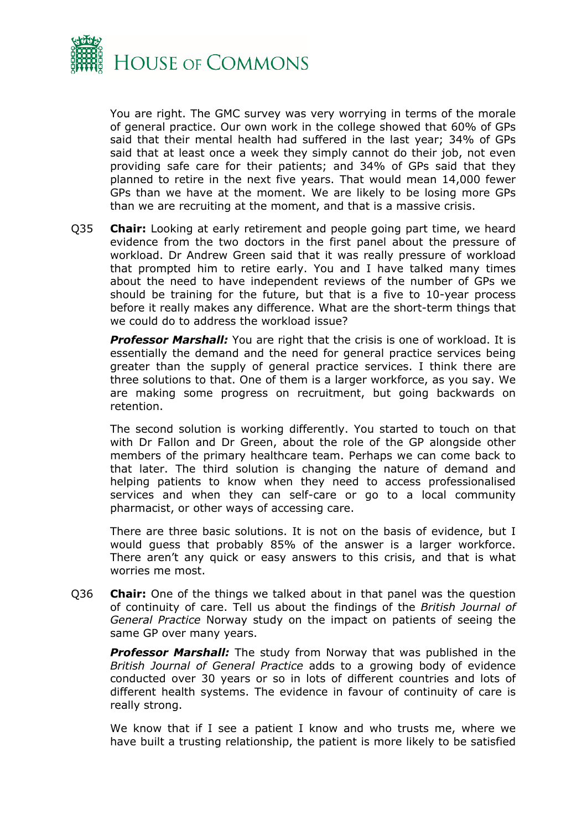

You are right. The GMC survey was very worrying in terms of the morale of general practice. Our own work in the college showed that 60% of GPs said that their mental health had suffered in the last year; 34% of GPs said that at least once a week they simply cannot do their job, not even providing safe care for their patients; and 34% of GPs said that they planned to retire in the next five years. That would mean 14,000 fewer GPs than we have at the moment. We are likely to be losing more GPs than we are recruiting at the moment, and that is a massive crisis.

Q35 **Chair:** Looking at early retirement and people going part time, we heard evidence from the two doctors in the first panel about the pressure of workload. Dr Andrew Green said that it was really pressure of workload that prompted him to retire early. You and I have talked many times about the need to have independent reviews of the number of GPs we should be training for the future, but that is a five to 10-year process before it really makes any difference. What are the short-term things that we could do to address the workload issue?

*Professor Marshall:* You are right that the crisis is one of workload. It is essentially the demand and the need for general practice services being greater than the supply of general practice services. I think there are three solutions to that. One of them is a larger workforce, as you say. We are making some progress on recruitment, but going backwards on retention.

The second solution is working differently. You started to touch on that with Dr Fallon and Dr Green, about the role of the GP alongside other members of the primary healthcare team. Perhaps we can come back to that later. The third solution is changing the nature of demand and helping patients to know when they need to access professionalised services and when they can self-care or go to a local community pharmacist, or other ways of accessing care.

There are three basic solutions. It is not on the basis of evidence, but I would guess that probably 85% of the answer is a larger workforce. There aren't any quick or easy answers to this crisis, and that is what worries me most.

Q36 **Chair:** One of the things we talked about in that panel was the question of continuity of care. Tell us about the findings of the *British Journal of General Practice* Norway study on the impact on patients of seeing the same GP over many years.

*Professor Marshall:* The study from Norway that was published in the *British Journal of General Practice* adds to a growing body of evidence conducted over 30 years or so in lots of different countries and lots of different health systems. The evidence in favour of continuity of care is really strong.

We know that if I see a patient I know and who trusts me, where we have built a trusting relationship, the patient is more likely to be satisfied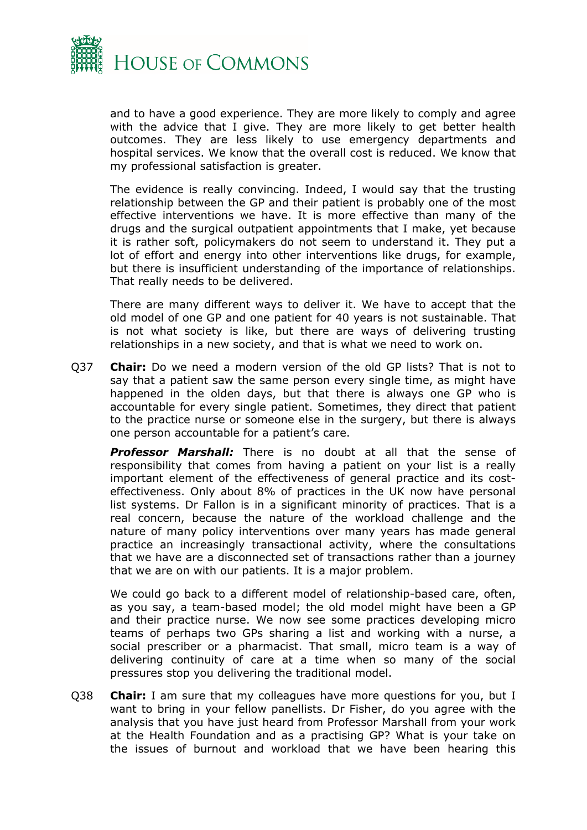

and to have a good experience. They are more likely to comply and agree with the advice that I give. They are more likely to get better health outcomes. They are less likely to use emergency departments and hospital services. We know that the overall cost is reduced. We know that my professional satisfaction is greater.

The evidence is really convincing. Indeed, I would say that the trusting relationship between the GP and their patient is probably one of the most effective interventions we have. It is more effective than many of the drugs and the surgical outpatient appointments that I make, yet because it is rather soft, policymakers do not seem to understand it. They put a lot of effort and energy into other interventions like drugs, for example, but there is insufficient understanding of the importance of relationships. That really needs to be delivered.

There are many different ways to deliver it. We have to accept that the old model of one GP and one patient for 40 years is not sustainable. That is not what society is like, but there are ways of delivering trusting relationships in a new society, and that is what we need to work on.

Q37 **Chair:** Do we need a modern version of the old GP lists? That is not to say that a patient saw the same person every single time, as might have happened in the olden days, but that there is always one GP who is accountable for every single patient. Sometimes, they direct that patient to the practice nurse or someone else in the surgery, but there is always one person accountable for a patient's care.

*Professor Marshall:* There is no doubt at all that the sense of responsibility that comes from having a patient on your list is a really important element of the effectiveness of general practice and its costeffectiveness. Only about 8% of practices in the UK now have personal list systems. Dr Fallon is in a significant minority of practices. That is a real concern, because the nature of the workload challenge and the nature of many policy interventions over many years has made general practice an increasingly transactional activity, where the consultations that we have are a disconnected set of transactions rather than a journey that we are on with our patients. It is a major problem.

We could go back to a different model of relationship-based care, often, as you say, a team-based model; the old model might have been a GP and their practice nurse. We now see some practices developing micro teams of perhaps two GPs sharing a list and working with a nurse, a social prescriber or a pharmacist. That small, micro team is a way of delivering continuity of care at a time when so many of the social pressures stop you delivering the traditional model.

Q38 **Chair:** I am sure that my colleagues have more questions for you, but I want to bring in your fellow panellists. Dr Fisher, do you agree with the analysis that you have just heard from Professor Marshall from your work at the Health Foundation and as a practising GP? What is your take on the issues of burnout and workload that we have been hearing this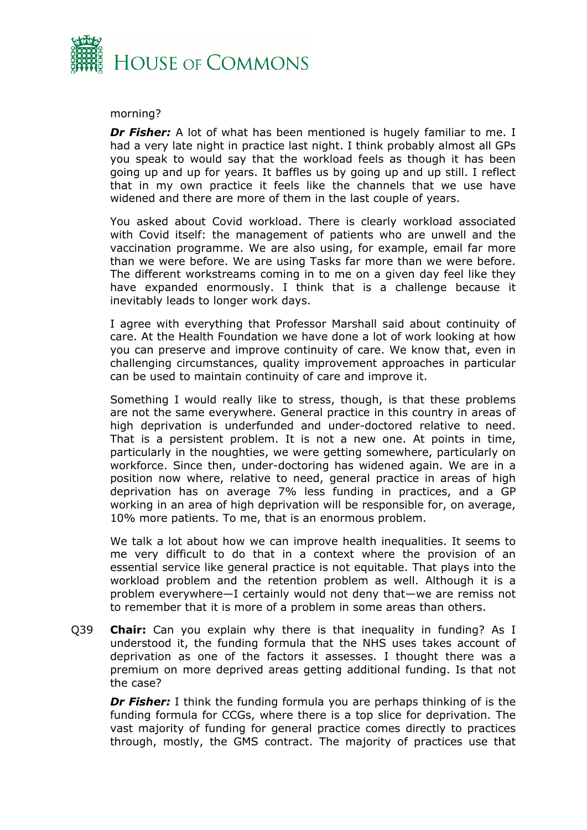

#### morning?

*Dr Fisher:* A lot of what has been mentioned is hugely familiar to me. I had a very late night in practice last night. I think probably almost all GPs you speak to would say that the workload feels as though it has been going up and up for years. It baffles us by going up and up still. I reflect that in my own practice it feels like the channels that we use have widened and there are more of them in the last couple of years.

You asked about Covid workload. There is clearly workload associated with Covid itself: the management of patients who are unwell and the vaccination programme. We are also using, for example, email far more than we were before. We are using Tasks far more than we were before. The different workstreams coming in to me on a given day feel like they have expanded enormously. I think that is a challenge because it inevitably leads to longer work days.

I agree with everything that Professor Marshall said about continuity of care. At the Health Foundation we have done a lot of work looking at how you can preserve and improve continuity of care. We know that, even in challenging circumstances, quality improvement approaches in particular can be used to maintain continuity of care and improve it.

Something I would really like to stress, though, is that these problems are not the same everywhere. General practice in this country in areas of high deprivation is underfunded and under-doctored relative to need. That is a persistent problem. It is not a new one. At points in time, particularly in the noughties, we were getting somewhere, particularly on workforce. Since then, under-doctoring has widened again. We are in a position now where, relative to need, general practice in areas of high deprivation has on average 7% less funding in practices, and a GP working in an area of high deprivation will be responsible for, on average, 10% more patients. To me, that is an enormous problem.

We talk a lot about how we can improve health inequalities. It seems to me very difficult to do that in a context where the provision of an essential service like general practice is not equitable. That plays into the workload problem and the retention problem as well. Although it is a problem everywhere—I certainly would not deny that—we are remiss not to remember that it is more of a problem in some areas than others.

Q39 **Chair:** Can you explain why there is that inequality in funding? As I understood it, the funding formula that the NHS uses takes account of deprivation as one of the factors it assesses. I thought there was a premium on more deprived areas getting additional funding. Is that not the case?

*Dr Fisher:* I think the funding formula you are perhaps thinking of is the funding formula for CCGs, where there is a top slice for deprivation. The vast majority of funding for general practice comes directly to practices through, mostly, the GMS contract. The majority of practices use that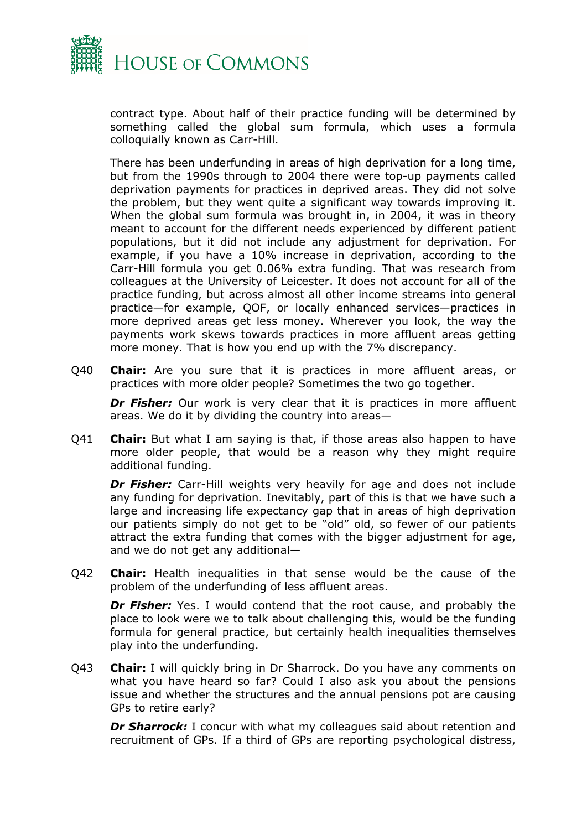

contract type. About half of their practice funding will be determined by something called the global sum formula, which uses a formula colloquially known as Carr-Hill.

There has been underfunding in areas of high deprivation for a long time, but from the 1990s through to 2004 there were top-up payments called deprivation payments for practices in deprived areas. They did not solve the problem, but they went quite a significant way towards improving it. When the global sum formula was brought in, in 2004, it was in theory meant to account for the different needs experienced by different patient populations, but it did not include any adjustment for deprivation. For example, if you have a 10% increase in deprivation, according to the Carr-Hill formula you get 0.06% extra funding. That was research from colleagues at the University of Leicester. It does not account for all of the practice funding, but across almost all other income streams into general practice—for example, QOF, or locally enhanced services—practices in more deprived areas get less money. Wherever you look, the way the payments work skews towards practices in more affluent areas getting more money. That is how you end up with the 7% discrepancy.

Q40 **Chair:** Are you sure that it is practices in more affluent areas, or practices with more older people? Sometimes the two go together.

*Dr Fisher:* Our work is very clear that it is practices in more affluent areas. We do it by dividing the country into areas—

Q41 **Chair:** But what I am saying is that, if those areas also happen to have more older people, that would be a reason why they might require additional funding.

**Dr Fisher:** Carr-Hill weights very heavily for age and does not include any funding for deprivation. Inevitably, part of this is that we have such a large and increasing life expectancy gap that in areas of high deprivation our patients simply do not get to be "old" old, so fewer of our patients attract the extra funding that comes with the bigger adjustment for age, and we do not get any additional—

Q42 **Chair:** Health inequalities in that sense would be the cause of the problem of the underfunding of less affluent areas.

*Dr Fisher:* Yes. I would contend that the root cause, and probably the place to look were we to talk about challenging this, would be the funding formula for general practice, but certainly health inequalities themselves play into the underfunding.

Q43 **Chair:** I will quickly bring in Dr Sharrock. Do you have any comments on what you have heard so far? Could I also ask you about the pensions issue and whether the structures and the annual pensions pot are causing GPs to retire early?

**Dr Sharrock:** I concur with what my colleagues said about retention and recruitment of GPs. If a third of GPs are reporting psychological distress,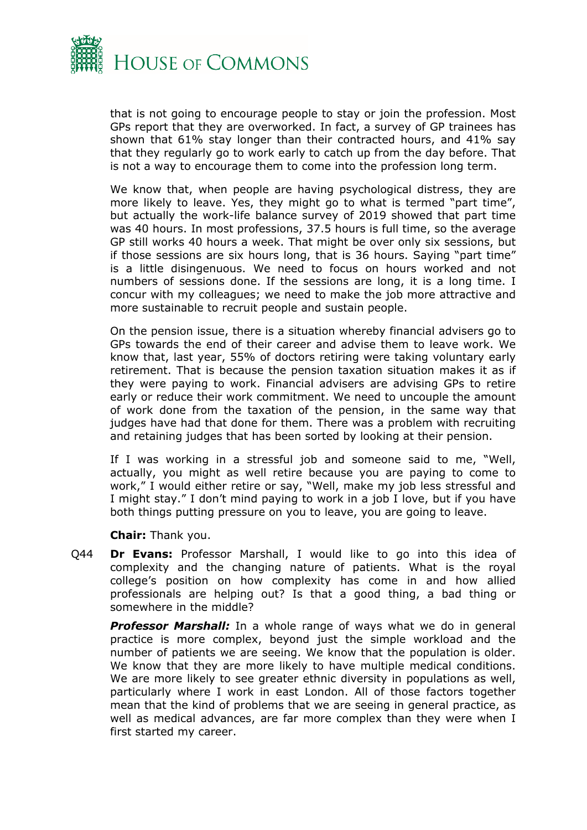

that is not going to encourage people to stay or join the profession. Most GPs report that they are overworked. In fact, a survey of GP trainees has shown that 61% stay longer than their contracted hours, and 41% say that they regularly go to work early to catch up from the day before. That is not a way to encourage them to come into the profession long term.

We know that, when people are having psychological distress, they are more likely to leave. Yes, they might go to what is termed "part time", but actually the work-life balance survey of 2019 showed that part time was 40 hours. In most professions, 37.5 hours is full time, so the average GP still works 40 hours a week. That might be over only six sessions, but if those sessions are six hours long, that is 36 hours. Saying "part time" is a little disingenuous. We need to focus on hours worked and not numbers of sessions done. If the sessions are long, it is a long time. I concur with my colleagues; we need to make the job more attractive and more sustainable to recruit people and sustain people.

On the pension issue, there is a situation whereby financial advisers go to GPs towards the end of their career and advise them to leave work. We know that, last year, 55% of doctors retiring were taking voluntary early retirement. That is because the pension taxation situation makes it as if they were paying to work. Financial advisers are advising GPs to retire early or reduce their work commitment. We need to uncouple the amount of work done from the taxation of the pension, in the same way that judges have had that done for them. There was a problem with recruiting and retaining judges that has been sorted by looking at their pension.

If I was working in a stressful job and someone said to me, "Well, actually, you might as well retire because you are paying to come to work," I would either retire or say, "Well, make my job less stressful and I might stay." I don't mind paying to work in a job I love, but if you have both things putting pressure on you to leave, you are going to leave.

**Chair:** Thank you.

Q44 **Dr Evans:** Professor Marshall, I would like to go into this idea of complexity and the changing nature of patients. What is the royal college's position on how complexity has come in and how allied professionals are helping out? Is that a good thing, a bad thing or somewhere in the middle?

**Professor Marshall:** In a whole range of ways what we do in general practice is more complex, beyond just the simple workload and the number of patients we are seeing. We know that the population is older. We know that they are more likely to have multiple medical conditions. We are more likely to see greater ethnic diversity in populations as well, particularly where I work in east London. All of those factors together mean that the kind of problems that we are seeing in general practice, as well as medical advances, are far more complex than they were when I first started my career.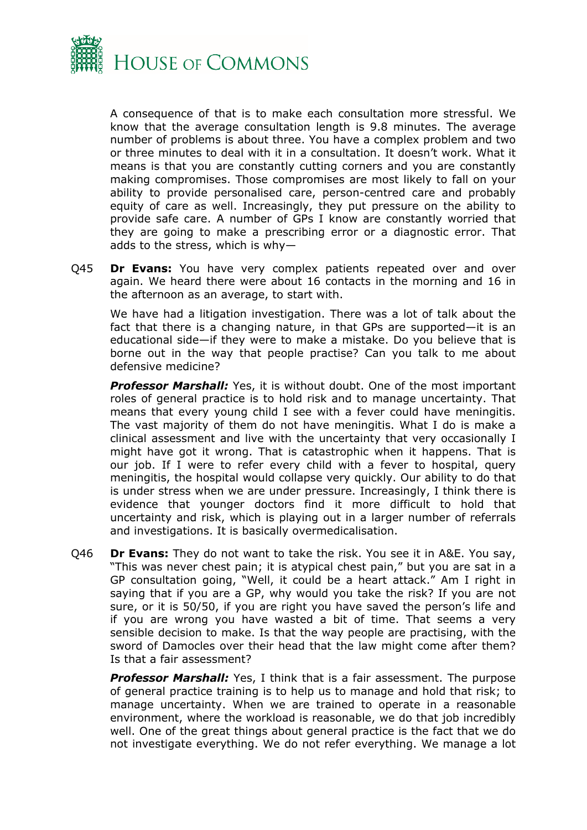

A consequence of that is to make each consultation more stressful. We know that the average consultation length is 9.8 minutes. The average number of problems is about three. You have a complex problem and two or three minutes to deal with it in a consultation. It doesn't work. What it means is that you are constantly cutting corners and you are constantly making compromises. Those compromises are most likely to fall on your ability to provide personalised care, person-centred care and probably equity of care as well. Increasingly, they put pressure on the ability to provide safe care. A number of GPs I know are constantly worried that they are going to make a prescribing error or a diagnostic error. That adds to the stress, which is why—

Q45 **Dr Evans:** You have very complex patients repeated over and over again. We heard there were about 16 contacts in the morning and 16 in the afternoon as an average, to start with.

We have had a litigation investigation. There was a lot of talk about the fact that there is a changing nature, in that GPs are supported—it is an educational side—if they were to make a mistake. Do you believe that is borne out in the way that people practise? Can you talk to me about defensive medicine?

*Professor Marshall:* Yes, it is without doubt. One of the most important roles of general practice is to hold risk and to manage uncertainty. That means that every young child I see with a fever could have meningitis. The vast majority of them do not have meningitis. What I do is make a clinical assessment and live with the uncertainty that very occasionally I might have got it wrong. That is catastrophic when it happens. That is our job. If I were to refer every child with a fever to hospital, query meningitis, the hospital would collapse very quickly. Our ability to do that is under stress when we are under pressure. Increasingly, I think there is evidence that younger doctors find it more difficult to hold that uncertainty and risk, which is playing out in a larger number of referrals and investigations. It is basically overmedicalisation.

Q46 **Dr Evans:** They do not want to take the risk. You see it in A&E. You say, "This was never chest pain; it is atypical chest pain," but you are sat in a GP consultation going, "Well, it could be a heart attack." Am I right in saying that if you are a GP, why would you take the risk? If you are not sure, or it is 50/50, if you are right you have saved the person's life and if you are wrong you have wasted a bit of time. That seems a very sensible decision to make. Is that the way people are practising, with the sword of Damocles over their head that the law might come after them? Is that a fair assessment?

*Professor Marshall:* Yes, I think that is a fair assessment. The purpose of general practice training is to help us to manage and hold that risk; to manage uncertainty. When we are trained to operate in a reasonable environment, where the workload is reasonable, we do that job incredibly well. One of the great things about general practice is the fact that we do not investigate everything. We do not refer everything. We manage a lot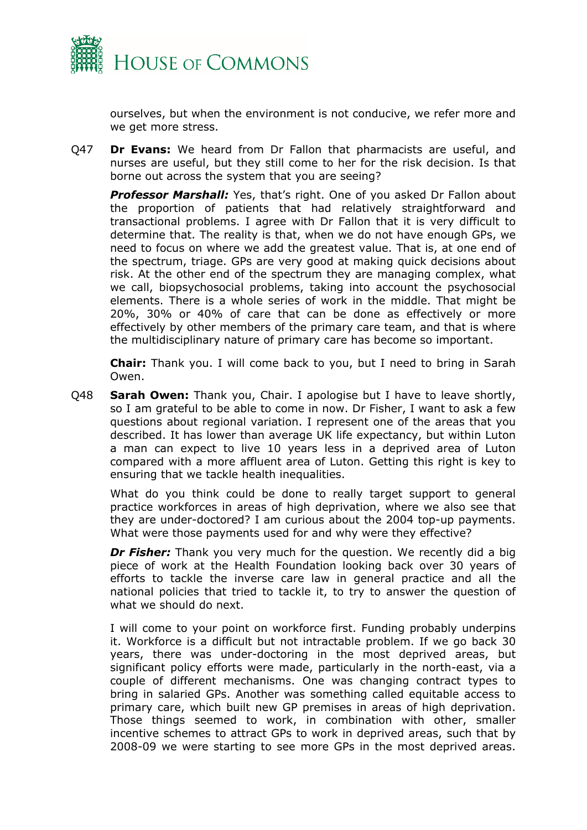

ourselves, but when the environment is not conducive, we refer more and we get more stress.

Q47 **Dr Evans:** We heard from Dr Fallon that pharmacists are useful, and nurses are useful, but they still come to her for the risk decision. Is that borne out across the system that you are seeing?

*Professor Marshall:* Yes, that's right. One of you asked Dr Fallon about the proportion of patients that had relatively straightforward and transactional problems. I agree with Dr Fallon that it is very difficult to determine that. The reality is that, when we do not have enough GPs, we need to focus on where we add the greatest value. That is, at one end of the spectrum, triage. GPs are very good at making quick decisions about risk. At the other end of the spectrum they are managing complex, what we call, biopsychosocial problems, taking into account the psychosocial elements. There is a whole series of work in the middle. That might be 20%, 30% or 40% of care that can be done as effectively or more effectively by other members of the primary care team, and that is where the multidisciplinary nature of primary care has become so important.

**Chair:** Thank you. I will come back to you, but I need to bring in Sarah Owen.

Q48 **Sarah Owen:** Thank you, Chair. I apologise but I have to leave shortly, so I am grateful to be able to come in now. Dr Fisher, I want to ask a few questions about regional variation. I represent one of the areas that you described. It has lower than average UK life expectancy, but within Luton a man can expect to live 10 years less in a deprived area of Luton compared with a more affluent area of Luton. Getting this right is key to ensuring that we tackle health inequalities.

What do you think could be done to really target support to general practice workforces in areas of high deprivation, where we also see that they are under-doctored? I am curious about the 2004 top-up payments. What were those payments used for and why were they effective?

*Dr Fisher:* Thank you very much for the question. We recently did a big piece of work at the Health Foundation looking back over 30 years of efforts to tackle the inverse care law in general practice and all the national policies that tried to tackle it, to try to answer the question of what we should do next.

I will come to your point on workforce first. Funding probably underpins it. Workforce is a difficult but not intractable problem. If we go back 30 years, there was under-doctoring in the most deprived areas, but significant policy efforts were made, particularly in the north-east, via a couple of different mechanisms. One was changing contract types to bring in salaried GPs. Another was something called equitable access to primary care, which built new GP premises in areas of high deprivation. Those things seemed to work, in combination with other, smaller incentive schemes to attract GPs to work in deprived areas, such that by 2008-09 we were starting to see more GPs in the most deprived areas.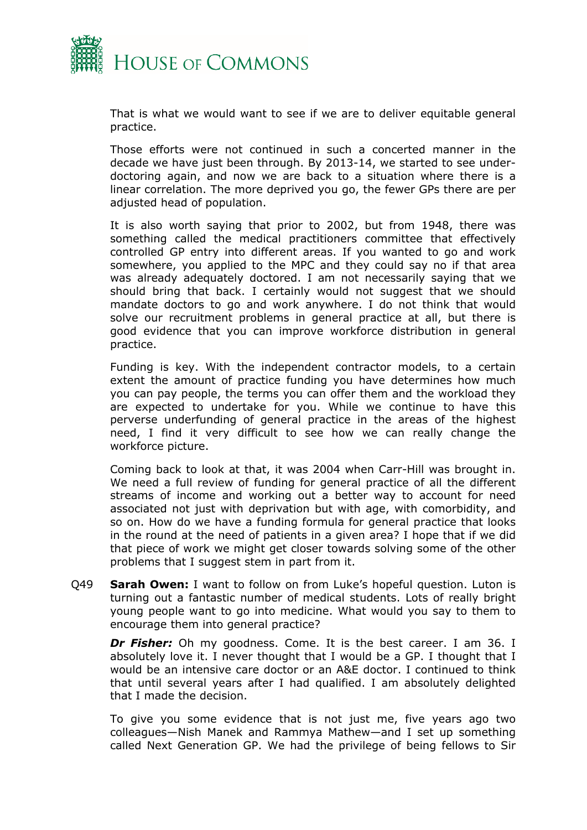

That is what we would want to see if we are to deliver equitable general practice.

Those efforts were not continued in such a concerted manner in the decade we have just been through. By 2013-14, we started to see underdoctoring again, and now we are back to a situation where there is a linear correlation. The more deprived you go, the fewer GPs there are per adjusted head of population.

It is also worth saying that prior to 2002, but from 1948, there was something called the medical practitioners committee that effectively controlled GP entry into different areas. If you wanted to go and work somewhere, you applied to the MPC and they could say no if that area was already adequately doctored. I am not necessarily saying that we should bring that back. I certainly would not suggest that we should mandate doctors to go and work anywhere. I do not think that would solve our recruitment problems in general practice at all, but there is good evidence that you can improve workforce distribution in general practice.

Funding is key. With the independent contractor models, to a certain extent the amount of practice funding you have determines how much you can pay people, the terms you can offer them and the workload they are expected to undertake for you. While we continue to have this perverse underfunding of general practice in the areas of the highest need, I find it very difficult to see how we can really change the workforce picture.

Coming back to look at that, it was 2004 when Carr-Hill was brought in. We need a full review of funding for general practice of all the different streams of income and working out a better way to account for need associated not just with deprivation but with age, with comorbidity, and so on. How do we have a funding formula for general practice that looks in the round at the need of patients in a given area? I hope that if we did that piece of work we might get closer towards solving some of the other problems that I suggest stem in part from it.

Q49 **Sarah Owen:** I want to follow on from Luke's hopeful question. Luton is turning out a fantastic number of medical students. Lots of really bright young people want to go into medicine. What would you say to them to encourage them into general practice?

*Dr Fisher:* Oh my goodness. Come. It is the best career. I am 36. I absolutely love it. I never thought that I would be a GP. I thought that I would be an intensive care doctor or an A&E doctor. I continued to think that until several years after I had qualified. I am absolutely delighted that I made the decision.

To give you some evidence that is not just me, five years ago two colleagues—Nish Manek and Rammya Mathew—and I set up something called Next Generation GP. We had the privilege of being fellows to Sir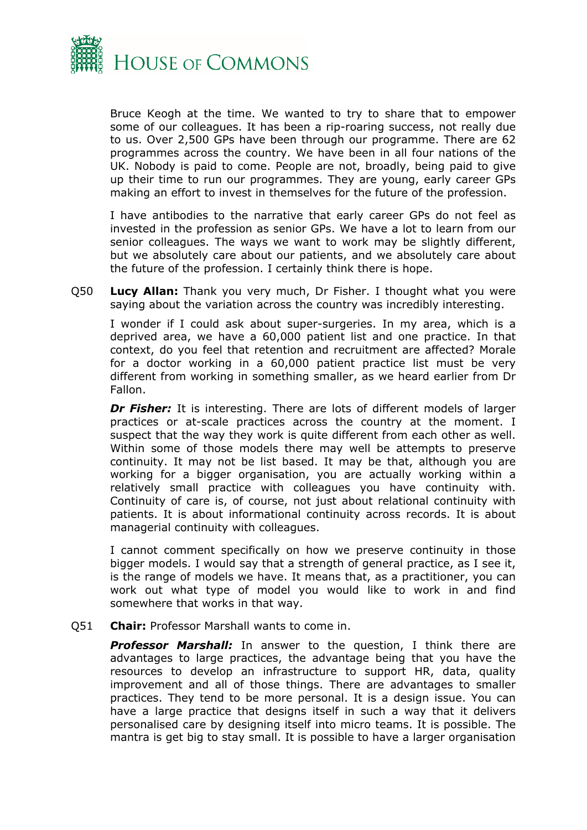

Bruce Keogh at the time. We wanted to try to share that to empower some of our colleagues. It has been a rip-roaring success, not really due to us. Over 2,500 GPs have been through our programme. There are 62 programmes across the country. We have been in all four nations of the UK. Nobody is paid to come. People are not, broadly, being paid to give up their time to run our programmes. They are young, early career GPs making an effort to invest in themselves for the future of the profession.

I have antibodies to the narrative that early career GPs do not feel as invested in the profession as senior GPs. We have a lot to learn from our senior colleagues. The ways we want to work may be slightly different, but we absolutely care about our patients, and we absolutely care about the future of the profession. I certainly think there is hope.

Q50 **Lucy Allan:** Thank you very much, Dr Fisher. I thought what you were saying about the variation across the country was incredibly interesting.

I wonder if I could ask about super-surgeries. In my area, which is a deprived area, we have a 60,000 patient list and one practice. In that context, do you feel that retention and recruitment are affected? Morale for a doctor working in a 60,000 patient practice list must be very different from working in something smaller, as we heard earlier from Dr Fallon.

*Dr Fisher:* It is interesting. There are lots of different models of larger practices or at-scale practices across the country at the moment. I suspect that the way they work is quite different from each other as well. Within some of those models there may well be attempts to preserve continuity. It may not be list based. It may be that, although you are working for a bigger organisation, you are actually working within a relatively small practice with colleagues you have continuity with. Continuity of care is, of course, not just about relational continuity with patients. It is about informational continuity across records. It is about managerial continuity with colleagues.

I cannot comment specifically on how we preserve continuity in those bigger models. I would say that a strength of general practice, as I see it, is the range of models we have. It means that, as a practitioner, you can work out what type of model you would like to work in and find somewhere that works in that way.

#### Q51 **Chair:** Professor Marshall wants to come in.

*Professor Marshall:* In answer to the question, I think there are advantages to large practices, the advantage being that you have the resources to develop an infrastructure to support HR, data, quality improvement and all of those things. There are advantages to smaller practices. They tend to be more personal. It is a design issue. You can have a large practice that designs itself in such a way that it delivers personalised care by designing itself into micro teams. It is possible. The mantra is get big to stay small. It is possible to have a larger organisation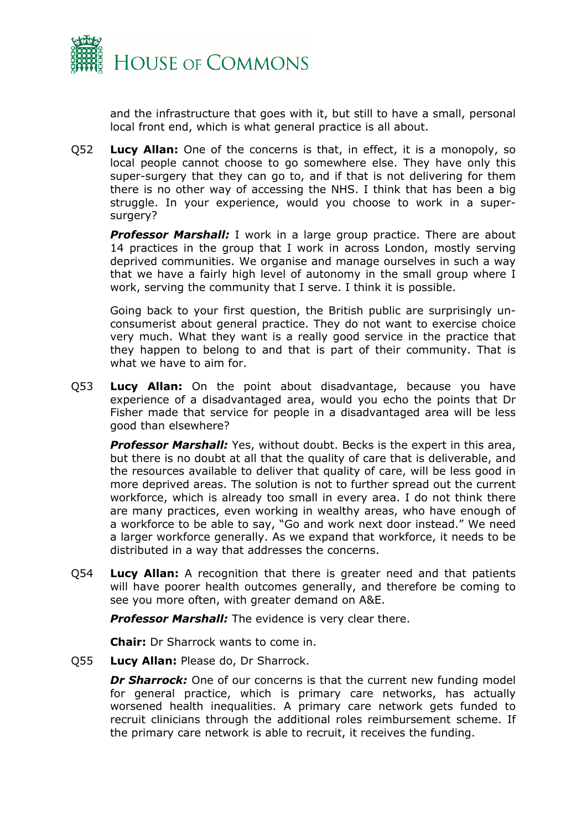

and the infrastructure that goes with it, but still to have a small, personal local front end, which is what general practice is all about.

Q52 **Lucy Allan:** One of the concerns is that, in effect, it is a monopoly, so local people cannot choose to go somewhere else. They have only this super-surgery that they can go to, and if that is not delivering for them there is no other way of accessing the NHS. I think that has been a big struggle. In your experience, would you choose to work in a supersurgery?

*Professor Marshall:* I work in a large group practice. There are about 14 practices in the group that I work in across London, mostly serving deprived communities. We organise and manage ourselves in such a way that we have a fairly high level of autonomy in the small group where I work, serving the community that I serve. I think it is possible.

Going back to your first question, the British public are surprisingly unconsumerist about general practice. They do not want to exercise choice very much. What they want is a really good service in the practice that they happen to belong to and that is part of their community. That is what we have to aim for.

Q53 **Lucy Allan:** On the point about disadvantage, because you have experience of a disadvantaged area, would you echo the points that Dr Fisher made that service for people in a disadvantaged area will be less good than elsewhere?

*Professor Marshall:* Yes, without doubt. Becks is the expert in this area, but there is no doubt at all that the quality of care that is deliverable, and the resources available to deliver that quality of care, will be less good in more deprived areas. The solution is not to further spread out the current workforce, which is already too small in every area. I do not think there are many practices, even working in wealthy areas, who have enough of a workforce to be able to say, "Go and work next door instead." We need a larger workforce generally. As we expand that workforce, it needs to be distributed in a way that addresses the concerns.

Q54 **Lucy Allan:** A recognition that there is greater need and that patients will have poorer health outcomes generally, and therefore be coming to see you more often, with greater demand on A&E.

*Professor Marshall:* The evidence is very clear there.

**Chair:** Dr Sharrock wants to come in.

Q55 **Lucy Allan:** Please do, Dr Sharrock.

*Dr Sharrock:* One of our concerns is that the current new funding model for general practice, which is primary care networks, has actually worsened health inequalities. A primary care network gets funded to recruit clinicians through the additional roles reimbursement scheme. If the primary care network is able to recruit, it receives the funding.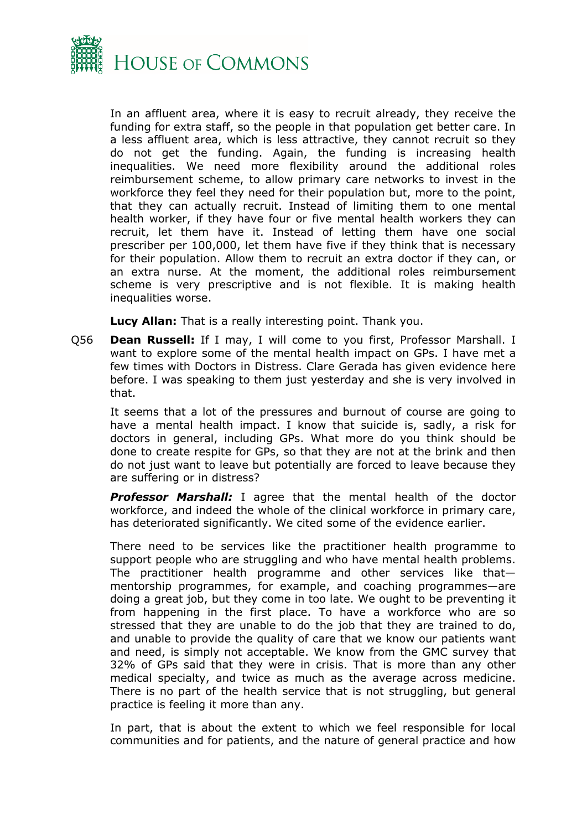

In an affluent area, where it is easy to recruit already, they receive the funding for extra staff, so the people in that population get better care. In a less affluent area, which is less attractive, they cannot recruit so they do not get the funding. Again, the funding is increasing health inequalities. We need more flexibility around the additional roles reimbursement scheme, to allow primary care networks to invest in the workforce they feel they need for their population but, more to the point, that they can actually recruit. Instead of limiting them to one mental health worker, if they have four or five mental health workers they can recruit, let them have it. Instead of letting them have one social prescriber per 100,000, let them have five if they think that is necessary for their population. Allow them to recruit an extra doctor if they can, or an extra nurse. At the moment, the additional roles reimbursement scheme is very prescriptive and is not flexible. It is making health inequalities worse.

**Lucy Allan:** That is a really interesting point. Thank you.

Q56 **Dean Russell:** If I may, I will come to you first, Professor Marshall. I want to explore some of the mental health impact on GPs. I have met a few times with Doctors in Distress. Clare Gerada has given evidence here before. I was speaking to them just yesterday and she is very involved in that.

It seems that a lot of the pressures and burnout of course are going to have a mental health impact. I know that suicide is, sadly, a risk for doctors in general, including GPs. What more do you think should be done to create respite for GPs, so that they are not at the brink and then do not just want to leave but potentially are forced to leave because they are suffering or in distress?

*Professor Marshall:* I agree that the mental health of the doctor workforce, and indeed the whole of the clinical workforce in primary care, has deteriorated significantly. We cited some of the evidence earlier.

There need to be services like the practitioner health programme to support people who are struggling and who have mental health problems. The practitioner health programme and other services like that mentorship programmes, for example, and coaching programmes—are doing a great job, but they come in too late. We ought to be preventing it from happening in the first place. To have a workforce who are so stressed that they are unable to do the job that they are trained to do, and unable to provide the quality of care that we know our patients want and need, is simply not acceptable. We know from the GMC survey that 32% of GPs said that they were in crisis. That is more than any other medical specialty, and twice as much as the average across medicine. There is no part of the health service that is not struggling, but general practice is feeling it more than any.

In part, that is about the extent to which we feel responsible for local communities and for patients, and the nature of general practice and how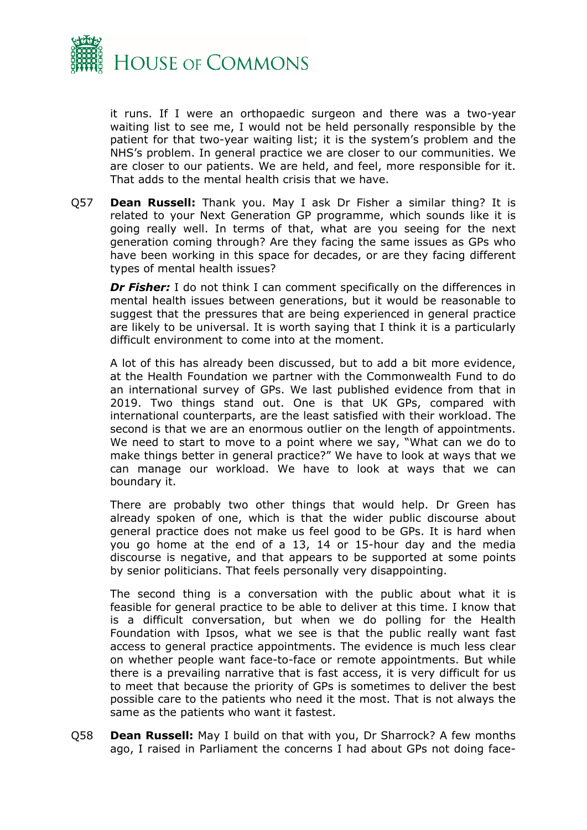

it runs. If I were an orthopaedic surgeon and there was a two-year waiting list to see me, I would not be held personally responsible by the patient for that two-year waiting list; it is the system's problem and the NHS's problem. In general practice we are closer to our communities. We are closer to our patients. We are held, and feel, more responsible for it. That adds to the mental health crisis that we have.

Q57 **Dean Russell:** Thank you. May I ask Dr Fisher a similar thing? It is related to your Next Generation GP programme, which sounds like it is going really well. In terms of that, what are you seeing for the next generation coming through? Are they facing the same issues as GPs who have been working in this space for decades, or are they facing different types of mental health issues?

*Dr Fisher:* I do not think I can comment specifically on the differences in mental health issues between generations, but it would be reasonable to suggest that the pressures that are being experienced in general practice are likely to be universal. It is worth saying that I think it is a particularly difficult environment to come into at the moment.

A lot of this has already been discussed, but to add a bit more evidence, at the Health Foundation we partner with the Commonwealth Fund to do an international survey of GPs. We last published evidence from that in 2019. Two things stand out. One is that UK GPs, compared with international counterparts, are the least satisfied with their workload. The second is that we are an enormous outlier on the length of appointments. We need to start to move to a point where we say, "What can we do to make things better in general practice?" We have to look at ways that we can manage our workload. We have to look at ways that we can boundary it.

There are probably two other things that would help. Dr Green has already spoken of one, which is that the wider public discourse about general practice does not make us feel good to be GPs. It is hard when you go home at the end of a 13, 14 or 15-hour day and the media discourse is negative, and that appears to be supported at some points by senior politicians. That feels personally very disappointing.

The second thing is a conversation with the public about what it is feasible for general practice to be able to deliver at this time. I know that is a difficult conversation, but when we do polling for the Health Foundation with Ipsos, what we see is that the public really want fast access to general practice appointments. The evidence is much less clear on whether people want face-to-face or remote appointments. But while there is a prevailing narrative that is fast access, it is very difficult for us to meet that because the priority of GPs is sometimes to deliver the best possible care to the patients who need it the most. That is not always the same as the patients who want it fastest.

Q58 **Dean Russell:** May I build on that with you, Dr Sharrock? A few months ago, I raised in Parliament the concerns I had about GPs not doing face-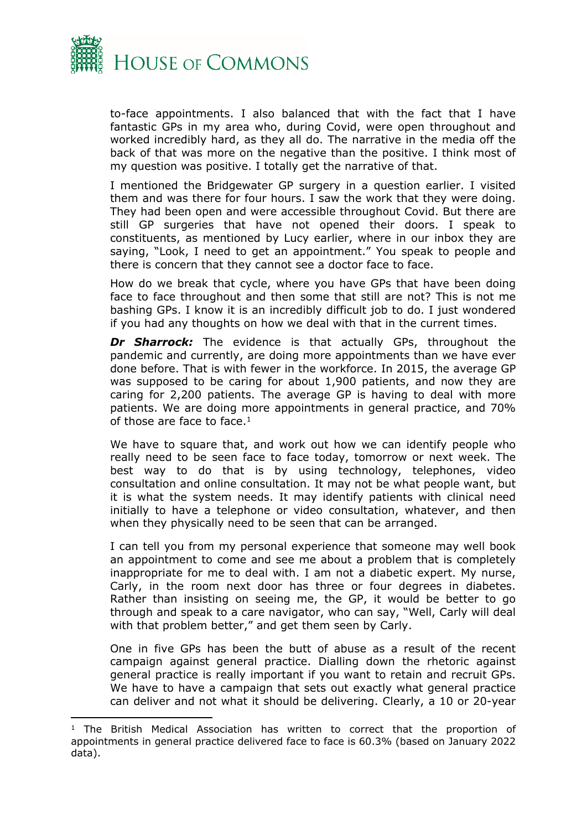

to-face appointments. I also balanced that with the fact that I have fantastic GPs in my area who, during Covid, were open throughout and worked incredibly hard, as they all do. The narrative in the media off the back of that was more on the negative than the positive. I think most of my question was positive. I totally get the narrative of that.

I mentioned the Bridgewater GP surgery in a question earlier. I visited them and was there for four hours. I saw the work that they were doing. They had been open and were accessible throughout Covid. But there are still GP surgeries that have not opened their doors. I speak to constituents, as mentioned by Lucy earlier, where in our inbox they are saying, "Look, I need to get an appointment." You speak to people and there is concern that they cannot see a doctor face to face.

How do we break that cycle, where you have GPs that have been doing face to face throughout and then some that still are not? This is not me bashing GPs. I know it is an incredibly difficult job to do. I just wondered if you had any thoughts on how we deal with that in the current times.

*Dr Sharrock:* The evidence is that actually GPs, throughout the pandemic and currently, are doing more appointments than we have ever done before. That is with fewer in the workforce. In 2015, the average GP was supposed to be caring for about 1,900 patients, and now they are caring for 2,200 patients. The average GP is having to deal with more patients. We are doing more appointments in general practice, and 70% of those are face to face.<sup>1</sup>

We have to square that, and work out how we can identify people who really need to be seen face to face today, tomorrow or next week. The best way to do that is by using technology, telephones, video consultation and online consultation. It may not be what people want, but it is what the system needs. It may identify patients with clinical need initially to have a telephone or video consultation, whatever, and then when they physically need to be seen that can be arranged.

I can tell you from my personal experience that someone may well book an appointment to come and see me about a problem that is completely inappropriate for me to deal with. I am not a diabetic expert. My nurse, Carly, in the room next door has three or four degrees in diabetes. Rather than insisting on seeing me, the GP, it would be better to go through and speak to a care navigator, who can say, "Well, Carly will deal with that problem better," and get them seen by Carly.

One in five GPs has been the butt of abuse as a result of the recent campaign against general practice. Dialling down the rhetoric against general practice is really important if you want to retain and recruit GPs. We have to have a campaign that sets out exactly what general practice can deliver and not what it should be delivering. Clearly, a 10 or 20-year

<sup>&</sup>lt;sup>1</sup> The British Medical Association has written to correct that the proportion of appointments in general practice delivered face to face is 60.3% (based on January 2022 data).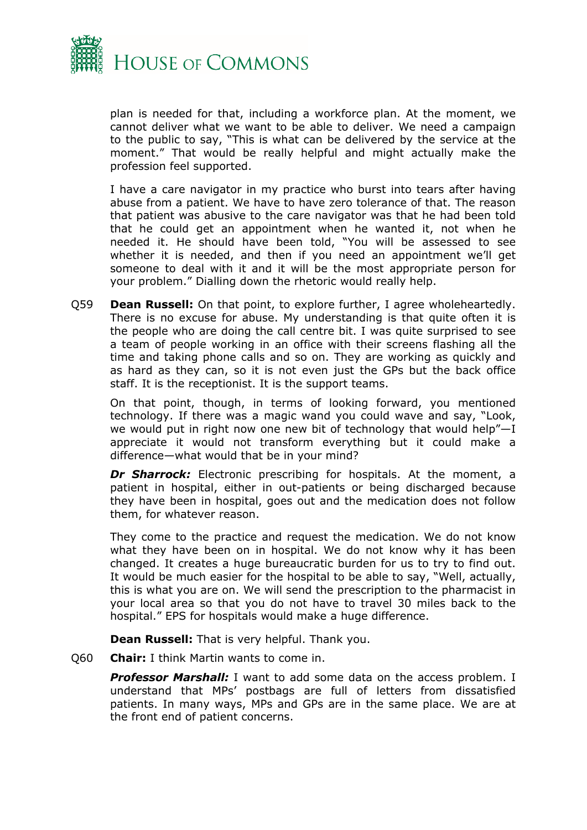

plan is needed for that, including a workforce plan. At the moment, we cannot deliver what we want to be able to deliver. We need a campaign to the public to say, "This is what can be delivered by the service at the moment." That would be really helpful and might actually make the profession feel supported.

I have a care navigator in my practice who burst into tears after having abuse from a patient. We have to have zero tolerance of that. The reason that patient was abusive to the care navigator was that he had been told that he could get an appointment when he wanted it, not when he needed it. He should have been told, "You will be assessed to see whether it is needed, and then if you need an appointment we'll get someone to deal with it and it will be the most appropriate person for your problem." Dialling down the rhetoric would really help.

Q59 **Dean Russell:** On that point, to explore further, I agree wholeheartedly. There is no excuse for abuse. My understanding is that quite often it is the people who are doing the call centre bit. I was quite surprised to see a team of people working in an office with their screens flashing all the time and taking phone calls and so on. They are working as quickly and as hard as they can, so it is not even just the GPs but the back office staff. It is the receptionist. It is the support teams.

On that point, though, in terms of looking forward, you mentioned technology. If there was a magic wand you could wave and say, "Look, we would put in right now one new bit of technology that would help"—I appreciate it would not transform everything but it could make a difference—what would that be in your mind?

*Dr Sharrock:* Electronic prescribing for hospitals. At the moment, a patient in hospital, either in out-patients or being discharged because they have been in hospital, goes out and the medication does not follow them, for whatever reason.

They come to the practice and request the medication. We do not know what they have been on in hospital. We do not know why it has been changed. It creates a huge bureaucratic burden for us to try to find out. It would be much easier for the hospital to be able to say, "Well, actually, this is what you are on. We will send the prescription to the pharmacist in your local area so that you do not have to travel 30 miles back to the hospital." EPS for hospitals would make a huge difference.

**Dean Russell:** That is very helpful. Thank you.

Q60 **Chair:** I think Martin wants to come in.

*Professor Marshall:* I want to add some data on the access problem. I understand that MPs' postbags are full of letters from dissatisfied patients. In many ways, MPs and GPs are in the same place. We are at the front end of patient concerns.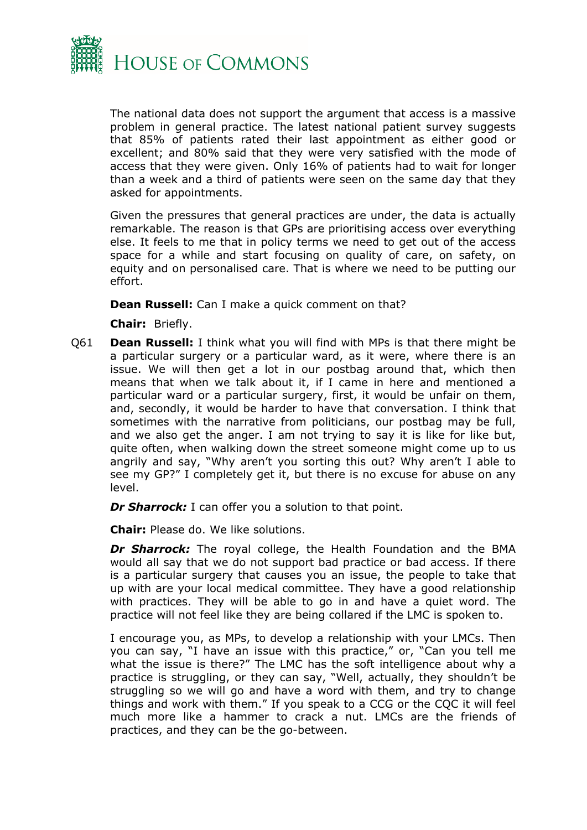

The national data does not support the argument that access is a massive problem in general practice. The latest national patient survey suggests that 85% of patients rated their last appointment as either good or excellent; and 80% said that they were very satisfied with the mode of access that they were given. Only 16% of patients had to wait for longer than a week and a third of patients were seen on the same day that they asked for appointments.

Given the pressures that general practices are under, the data is actually remarkable. The reason is that GPs are prioritising access over everything else. It feels to me that in policy terms we need to get out of the access space for a while and start focusing on quality of care, on safety, on equity and on personalised care. That is where we need to be putting our effort.

**Dean Russell:** Can I make a quick comment on that?

**Chair:** Briefly.

Q61 **Dean Russell:** I think what you will find with MPs is that there might be a particular surgery or a particular ward, as it were, where there is an issue. We will then get a lot in our postbag around that, which then means that when we talk about it, if I came in here and mentioned a particular ward or a particular surgery, first, it would be unfair on them, and, secondly, it would be harder to have that conversation. I think that sometimes with the narrative from politicians, our postbag may be full, and we also get the anger. I am not trying to say it is like for like but, quite often, when walking down the street someone might come up to us angrily and say, "Why aren't you sorting this out? Why aren't I able to see my GP?" I completely get it, but there is no excuse for abuse on any level.

*Dr Sharrock:* I can offer you a solution to that point.

**Chair:** Please do. We like solutions.

**Dr Sharrock:** The royal college, the Health Foundation and the BMA would all say that we do not support bad practice or bad access. If there is a particular surgery that causes you an issue, the people to take that up with are your local medical committee. They have a good relationship with practices. They will be able to go in and have a quiet word. The practice will not feel like they are being collared if the LMC is spoken to.

I encourage you, as MPs, to develop a relationship with your LMCs. Then you can say, "I have an issue with this practice," or, "Can you tell me what the issue is there?" The LMC has the soft intelligence about why a practice is struggling, or they can say, "Well, actually, they shouldn't be struggling so we will go and have a word with them, and try to change things and work with them." If you speak to a CCG or the CQC it will feel much more like a hammer to crack a nut. LMCs are the friends of practices, and they can be the go-between.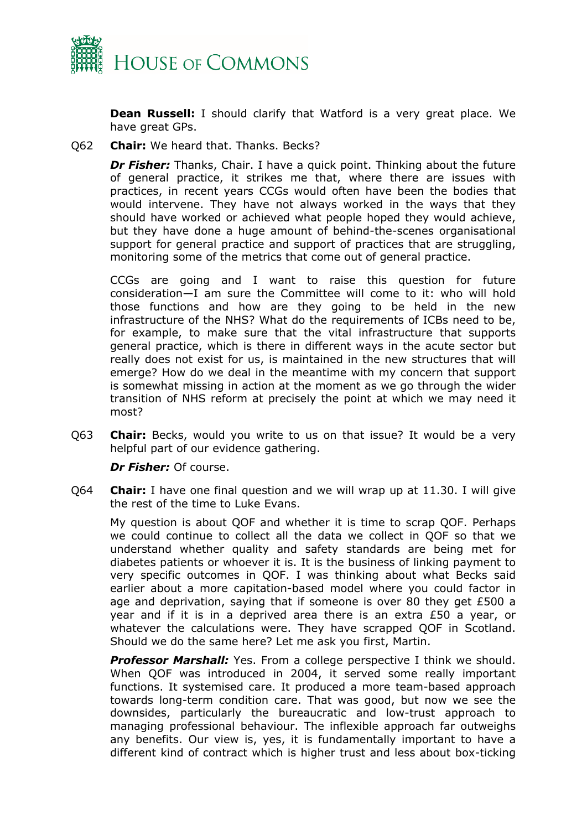

**Dean Russell:** I should clarify that Watford is a very great place. We have great GPs.

Q62 **Chair:** We heard that. Thanks. Becks?

*Dr Fisher:* Thanks, Chair. I have a quick point. Thinking about the future of general practice, it strikes me that, where there are issues with practices, in recent years CCGs would often have been the bodies that would intervene. They have not always worked in the ways that they should have worked or achieved what people hoped they would achieve, but they have done a huge amount of behind-the-scenes organisational support for general practice and support of practices that are struggling, monitoring some of the metrics that come out of general practice.

CCGs are going and I want to raise this question for future consideration—I am sure the Committee will come to it: who will hold those functions and how are they going to be held in the new infrastructure of the NHS? What do the requirements of ICBs need to be, for example, to make sure that the vital infrastructure that supports general practice, which is there in different ways in the acute sector but really does not exist for us, is maintained in the new structures that will emerge? How do we deal in the meantime with my concern that support is somewhat missing in action at the moment as we go through the wider transition of NHS reform at precisely the point at which we may need it most?

Q63 **Chair:** Becks, would you write to us on that issue? It would be a very helpful part of our evidence gathering.

*Dr Fisher:* Of course.

Q64 **Chair:** I have one final question and we will wrap up at 11.30. I will give the rest of the time to Luke Evans.

My question is about QOF and whether it is time to scrap QOF. Perhaps we could continue to collect all the data we collect in QOF so that we understand whether quality and safety standards are being met for diabetes patients or whoever it is. It is the business of linking payment to very specific outcomes in QOF. I was thinking about what Becks said earlier about a more capitation-based model where you could factor in age and deprivation, saying that if someone is over 80 they get £500 a year and if it is in a deprived area there is an extra £50 a year, or whatever the calculations were. They have scrapped QOF in Scotland. Should we do the same here? Let me ask you first, Martin.

*Professor Marshall:* Yes. From a college perspective I think we should. When QOF was introduced in 2004, it served some really important functions. It systemised care. It produced a more team-based approach towards long-term condition care. That was good, but now we see the downsides, particularly the bureaucratic and low-trust approach to managing professional behaviour. The inflexible approach far outweighs any benefits. Our view is, yes, it is fundamentally important to have a different kind of contract which is higher trust and less about box-ticking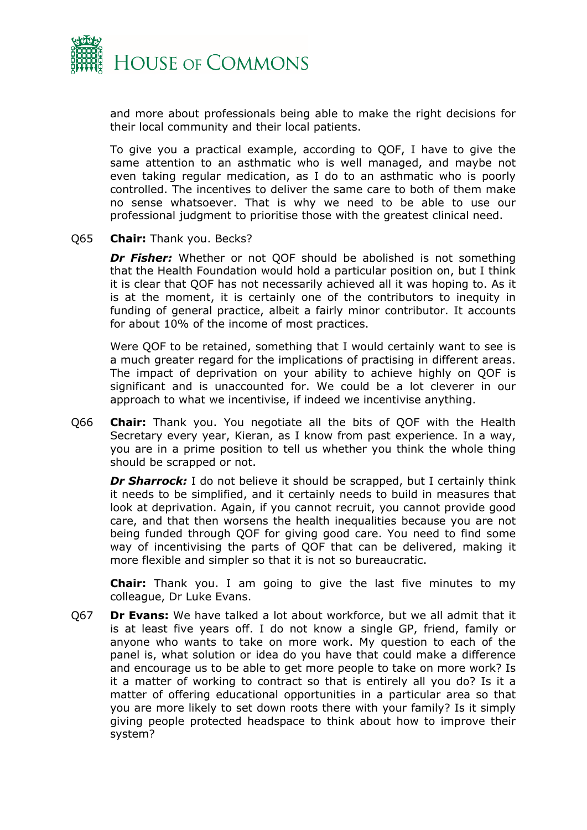

and more about professionals being able to make the right decisions for their local community and their local patients.

To give you a practical example, according to QOF, I have to give the same attention to an asthmatic who is well managed, and maybe not even taking regular medication, as I do to an asthmatic who is poorly controlled. The incentives to deliver the same care to both of them make no sense whatsoever. That is why we need to be able to use our professional judgment to prioritise those with the greatest clinical need.

#### Q65 **Chair:** Thank you. Becks?

*Dr Fisher:* Whether or not QOF should be abolished is not something that the Health Foundation would hold a particular position on, but I think it is clear that QOF has not necessarily achieved all it was hoping to. As it is at the moment, it is certainly one of the contributors to inequity in funding of general practice, albeit a fairly minor contributor. It accounts for about 10% of the income of most practices.

Were QOF to be retained, something that I would certainly want to see is a much greater regard for the implications of practising in different areas. The impact of deprivation on your ability to achieve highly on QOF is significant and is unaccounted for. We could be a lot cleverer in our approach to what we incentivise, if indeed we incentivise anything.

Q66 **Chair:** Thank you. You negotiate all the bits of QOF with the Health Secretary every year, Kieran, as I know from past experience. In a way, you are in a prime position to tell us whether you think the whole thing should be scrapped or not.

*Dr Sharrock:* I do not believe it should be scrapped, but I certainly think it needs to be simplified, and it certainly needs to build in measures that look at deprivation. Again, if you cannot recruit, you cannot provide good care, and that then worsens the health inequalities because you are not being funded through QOF for giving good care. You need to find some way of incentivising the parts of QOF that can be delivered, making it more flexible and simpler so that it is not so bureaucratic.

**Chair:** Thank you. I am going to give the last five minutes to my colleague, Dr Luke Evans.

Q67 **Dr Evans:** We have talked a lot about workforce, but we all admit that it is at least five years off. I do not know a single GP, friend, family or anyone who wants to take on more work. My question to each of the panel is, what solution or idea do you have that could make a difference and encourage us to be able to get more people to take on more work? Is it a matter of working to contract so that is entirely all you do? Is it a matter of offering educational opportunities in a particular area so that you are more likely to set down roots there with your family? Is it simply giving people protected headspace to think about how to improve their system?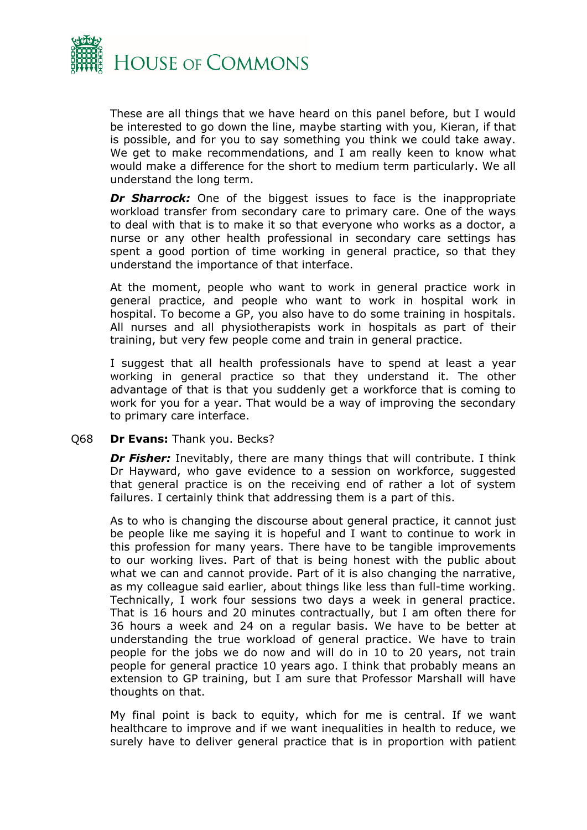

These are all things that we have heard on this panel before, but I would be interested to go down the line, maybe starting with you, Kieran, if that is possible, and for you to say something you think we could take away. We get to make recommendations, and I am really keen to know what would make a difference for the short to medium term particularly. We all understand the long term.

**Dr Sharrock:** One of the biggest issues to face is the inappropriate workload transfer from secondary care to primary care. One of the ways to deal with that is to make it so that everyone who works as a doctor, a nurse or any other health professional in secondary care settings has spent a good portion of time working in general practice, so that they understand the importance of that interface.

At the moment, people who want to work in general practice work in general practice, and people who want to work in hospital work in hospital. To become a GP, you also have to do some training in hospitals. All nurses and all physiotherapists work in hospitals as part of their training, but very few people come and train in general practice.

I suggest that all health professionals have to spend at least a year working in general practice so that they understand it. The other advantage of that is that you suddenly get a workforce that is coming to work for you for a year. That would be a way of improving the secondary to primary care interface.

#### Q68 **Dr Evans:** Thank you. Becks?

*Dr Fisher:* Inevitably, there are many things that will contribute. I think Dr Hayward, who gave evidence to a session on workforce, suggested that general practice is on the receiving end of rather a lot of system failures. I certainly think that addressing them is a part of this.

As to who is changing the discourse about general practice, it cannot just be people like me saying it is hopeful and I want to continue to work in this profession for many years. There have to be tangible improvements to our working lives. Part of that is being honest with the public about what we can and cannot provide. Part of it is also changing the narrative, as my colleague said earlier, about things like less than full-time working. Technically, I work four sessions two days a week in general practice. That is 16 hours and 20 minutes contractually, but I am often there for 36 hours a week and 24 on a regular basis. We have to be better at understanding the true workload of general practice. We have to train people for the jobs we do now and will do in 10 to 20 years, not train people for general practice 10 years ago. I think that probably means an extension to GP training, but I am sure that Professor Marshall will have thoughts on that.

My final point is back to equity, which for me is central. If we want healthcare to improve and if we want inequalities in health to reduce, we surely have to deliver general practice that is in proportion with patient